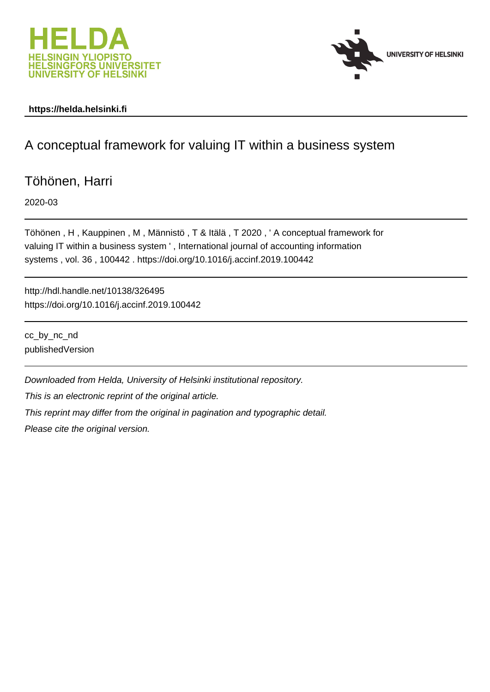



### **https://helda.helsinki.fi**

# A conceptual framework for valuing IT within a business system

Töhönen, Harri

2020-03

Töhönen , H , Kauppinen , M , Männistö , T & Itälä , T 2020 , ' A conceptual framework for valuing IT within a business system ' , International journal of accounting information systems , vol. 36 , 100442 . https://doi.org/10.1016/j.accinf.2019.100442

http://hdl.handle.net/10138/326495 https://doi.org/10.1016/j.accinf.2019.100442

cc\_by\_nc\_nd publishedVersion

Downloaded from Helda, University of Helsinki institutional repository.

This is an electronic reprint of the original article.

This reprint may differ from the original in pagination and typographic detail.

Please cite the original version.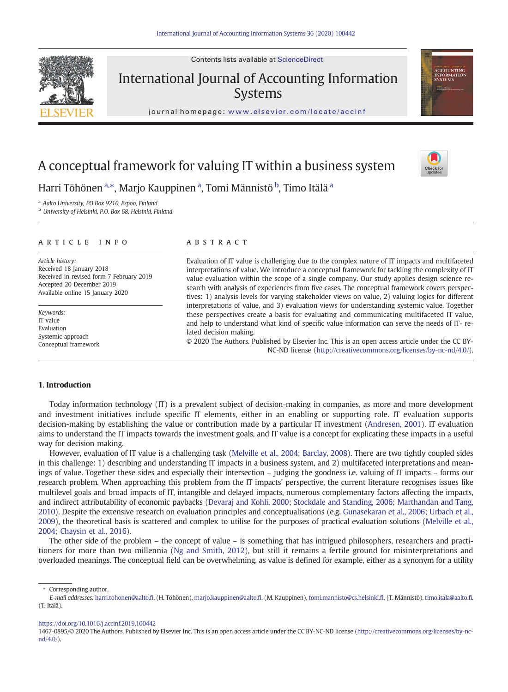

journal homepage: <www.elsevier.com/locate/accinf>

## A conceptual framework for valuing IT within a business system

Harri Töhönen <sup>a,</sup>\*, Marjo Kauppinen <sup>a</sup>, Tomi Männistö <sup>b</sup>, Timo Itälä <sup>a</sup>

<sup>a</sup> Aalto University, PO Box 9210, Espoo, Finland

<sup>b</sup> University of Helsinki, P.O. Box 68, Helsinki, Finland

#### article info abstract

Article history: Received 18 January 2018 Received in revised form 7 February 2019 Accepted 20 December 2019 Available online 15 January 2020

Keywords: IT value Evaluation Systemic approach Conceptual framework

Evaluation of IT value is challenging due to the complex nature of IT impacts and multifaceted interpretations of value. We introduce a conceptual framework for tackling the complexity of IT value evaluation within the scope of a single company. Our study applies design science research with analysis of experiences from five cases. The conceptual framework covers perspectives: 1) analysis levels for varying stakeholder views on value, 2) valuing logics for different interpretations of value, and 3) evaluation views for understanding systemic value. Together these perspectives create a basis for evaluating and communicating multifaceted IT value, and help to understand what kind of specific value information can serve the needs of IT- related decision making.

© 2020 The Authors. Published by Elsevier Inc. This is an open access article under the CC BY-NC-ND license (http://creativecommons.org/licenses/by-nc-nd/4.0/).

#### 1. Introduction

Today information technology (IT) is a prevalent subject of decision-making in companies, as more and more development and investment initiatives include specific IT elements, either in an enabling or supporting role. IT evaluation supports decision-making by establishing the value or contribution made by a particular IT investment (Andresen, 2001). IT evaluation aims to understand the IT impacts towards the investment goals, and IT value is a concept for explicating these impacts in a useful way for decision making.

However, evaluation of IT value is a challenging task (Melville et al., 2004; Barclay, 2008). There are two tightly coupled sides in this challenge: 1) describing and understanding IT impacts in a business system, and 2) multifaceted interpretations and meanings of value. Together these sides and especially their intersection – judging the goodness i.e. valuing of IT impacts – forms our research problem. When approaching this problem from the IT impacts' perspective, the current literature recognises issues like multilevel goals and broad impacts of IT, intangible and delayed impacts, numerous complementary factors affecting the impacts, and indirect attributability of economic paybacks (Devaraj and Kohli, 2000; Stockdale and Standing, 2006; Marthandan and Tang, 2010). Despite the extensive research on evaluation principles and conceptualisations (e.g. Gunasekaran et al., 2006; Urbach et al., 2009), the theoretical basis is scattered and complex to utilise for the purposes of practical evaluation solutions (Melville et al., 2004; Chaysin et al., 2016).

The other side of the problem – the concept of value – is something that has intrigued philosophers, researchers and practitioners for more than two millennia (Ng and Smith, 2012), but still it remains a fertile ground for misinterpretations and overloaded meanings. The conceptual field can be overwhelming, as value is defined for example, either as a synonym for a utility

<https://doi.org/10.1016/j.accinf.2019.100442>







<sup>⁎</sup> Corresponding author.

E-mail addresses: harri.tohonen@aalto.fi, (H. Töhönen), marjo.kauppinen@aalto.fi, (M. Kauppinen), tomi.mannisto@cs.helsinki.fi, (T. Männistö), [timo.itala@aalto.](timo.itala@aalto.fi)fi. (T. Itälä).

<sup>1467-0895/© 2020</sup> The Authors. Published by Elsevier Inc. This is an open access article under the CC BY-NC-ND license (http://creativecommons.org/licenses/by-ncnd/4.0/).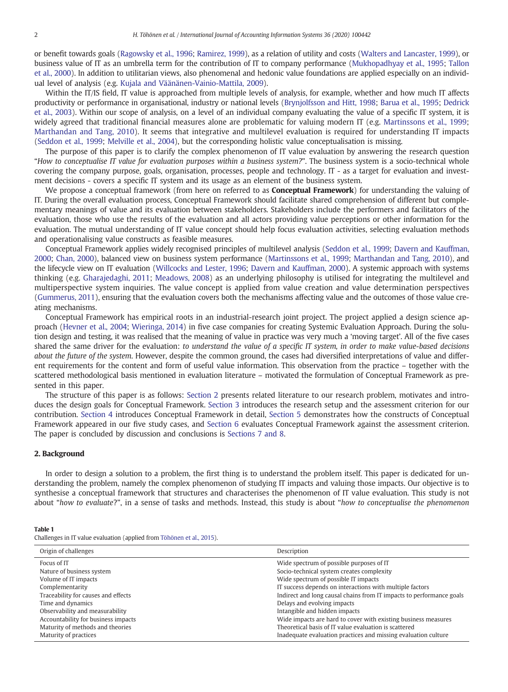or benefit towards goals (Ragowsky et al., 1996; Ramirez, 1999), as a relation of utility and costs (Walters and Lancaster, 1999), or business value of IT as an umbrella term for the contribution of IT to company performance (Mukhopadhyay et al., 1995; Tallon et al., 2000). In addition to utilitarian views, also phenomenal and hedonic value foundations are applied especially on an individual level of analysis (e.g. Kujala and Väänänen-Vainio-Mattila, 2009).

Within the IT/IS field, IT value is approached from multiple levels of analysis, for example, whether and how much IT affects productivity or performance in organisational, industry or national levels (Brynjolfsson and Hitt, 1998; Barua et al., 1995; Dedrick et al., 2003). Within our scope of analysis, on a level of an individual company evaluating the value of a specific IT system, it is widely agreed that traditional financial measures alone are problematic for valuing modern IT (e.g. Martinssons et al., 1999; Marthandan and Tang, 2010). It seems that integrative and multilevel evaluation is required for understanding IT impacts (Seddon et al., 1999; Melville et al., 2004), but the corresponding holistic value conceptualisation is missing.

The purpose of this paper is to clarify the complex phenomenon of IT value evaluation by answering the research question "How to conceptualise IT value for evaluation purposes within a business system?". The business system is a socio-technical whole covering the company purpose, goals, organisation, processes, people and technology. IT - as a target for evaluation and investment decisions - covers a specific IT system and its usage as an element of the business system.

We propose a conceptual framework (from here on referred to as **Conceptual Framework**) for understanding the valuing of IT. During the overall evaluation process, Conceptual Framework should facilitate shared comprehension of different but complementary meanings of value and its evaluation between stakeholders. Stakeholders include the performers and facilitators of the evaluation, those who use the results of the evaluation and all actors providing value perceptions or other information for the evaluation. The mutual understanding of IT value concept should help focus evaluation activities, selecting evaluation methods and operationalising value constructs as feasible measures.

Conceptual Framework applies widely recognised principles of multilevel analysis (Seddon et al., 1999; Davern and Kauffman, 2000; Chan, 2000), balanced view on business system performance (Martinssons et al., 1999; Marthandan and Tang, 2010), and the lifecycle view on IT evaluation (Willcocks and Lester, 1996; Davern and Kauffman, 2000). A systemic approach with systems thinking (e.g. Gharajedaghi, 2011; Meadows, 2008) as an underlying philosophy is utilised for integrating the multilevel and multiperspective system inquiries. The value concept is applied from value creation and value determination perspectives (Gummerus, 2011), ensuring that the evaluation covers both the mechanisms affecting value and the outcomes of those value creating mechanisms.

Conceptual Framework has empirical roots in an industrial-research joint project. The project applied a design science approach (Hevner et al., 2004; Wieringa, 2014) in five case companies for creating Systemic Evaluation Approach. During the solution design and testing, it was realised that the meaning of value in practice was very much a 'moving target'. All of the five cases shared the same driver for the evaluation: to understand the value of a specific IT system, in order to make value-based decisions about the future of the system. However, despite the common ground, the cases had diversified interpretations of value and different requirements for the content and form of useful value information. This observation from the practice – together with the scattered methodological basis mentioned in evaluation literature – motivated the formulation of Conceptual Framework as presented in this paper.

The structure of this paper is as follows: Section 2 presents related literature to our research problem, motivates and introduces the design goals for Conceptual Framework. Section 3 introduces the research setup and the assessment criterion for our contribution. Section 4 introduces Conceptual Framework in detail, Section 5 demonstrates how the constructs of Conceptual Framework appeared in our five study cases, and Section 6 evaluates Conceptual Framework against the assessment criterion. The paper is concluded by discussion and conclusions is Sections 7 and 8.

#### 2. Background

In order to design a solution to a problem, the first thing is to understand the problem itself. This paper is dedicated for understanding the problem, namely the complex phenomenon of studying IT impacts and valuing those impacts. Our objective is to synthesise a conceptual framework that structures and characterises the phenomenon of IT value evaluation. This study is not about "how to evaluate?", in a sense of tasks and methods. Instead, this study is about "how to conceptualise the phenomenon

#### Table 1

Challenges in IT value evaluation (applied from Töhönen et al., 2015).

| Origin of challenges                | Description                                                          |
|-------------------------------------|----------------------------------------------------------------------|
| Focus of IT                         | Wide spectrum of possible purposes of IT                             |
| Nature of business system           | Socio-technical system creates complexity                            |
| Volume of IT impacts                | Wide spectrum of possible IT impacts                                 |
| Complementarity                     | IT success depends on interactions with multiple factors             |
| Traceability for causes and effects | Indirect and long causal chains from IT impacts to performance goals |
| Time and dynamics                   | Delays and evolving impacts                                          |
| Observability and measurability     | Intangible and hidden impacts                                        |
| Accountability for business impacts | Wide impacts are hard to cover with existing business measures       |
| Maturity of methods and theories    | Theoretical basis of IT value evaluation is scattered                |
| Maturity of practices               | Inadequate evaluation practices and missing evaluation culture       |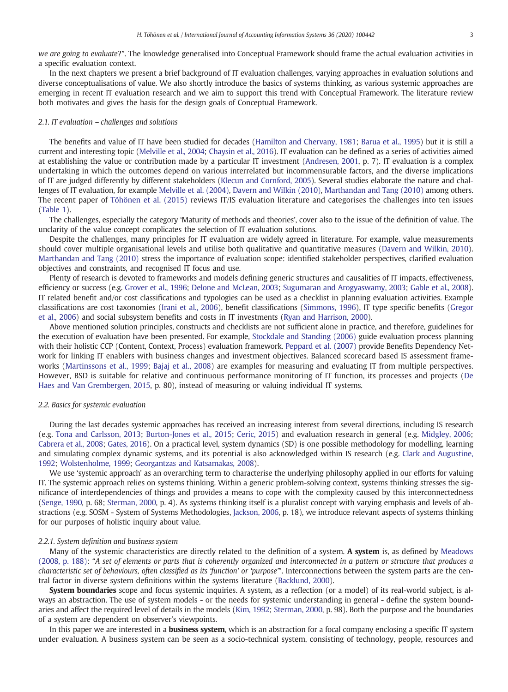we are going to evaluate?". The knowledge generalised into Conceptual Framework should frame the actual evaluation activities in a specific evaluation context.

In the next chapters we present a brief background of IT evaluation challenges, varying approaches in evaluation solutions and diverse conceptualisations of value. We also shortly introduce the basics of systems thinking, as various systemic approaches are emerging in recent IT evaluation research and we aim to support this trend with Conceptual Framework. The literature review both motivates and gives the basis for the design goals of Conceptual Framework.

#### 2.1. IT evaluation – challenges and solutions

The benefits and value of IT have been studied for decades (Hamilton and Chervany, 1981; Barua et al., 1995) but it is still a current and interesting topic (Melville et al., 2004; Chaysin et al., 2016). IT evaluation can be defined as a series of activities aimed at establishing the value or contribution made by a particular IT investment (Andresen, 2001, p. 7). IT evaluation is a complex undertaking in which the outcomes depend on various interrelated but incommensurable factors, and the diverse implications of IT are judged differently by different stakeholders (Klecun and Cornford, 2005). Several studies elaborate the nature and challenges of IT evaluation, for example Melville et al. (2004), Davern and Wilkin (2010), Marthandan and Tang (2010) among others. The recent paper of Töhönen et al. (2015) reviews IT/IS evaluation literature and categorises the challenges into ten issues (Table 1).

The challenges, especially the category 'Maturity of methods and theories', cover also to the issue of the definition of value. The unclarity of the value concept complicates the selection of IT evaluation solutions.

Despite the challenges, many principles for IT evaluation are widely agreed in literature. For example, value measurements should cover multiple organisational levels and utilise both qualitative and quantitative measures (Davern and Wilkin, 2010). Marthandan and Tang (2010) stress the importance of evaluation scope: identified stakeholder perspectives, clarified evaluation objectives and constraints, and recognised IT focus and use.

Plenty of research is devoted to frameworks and models defining generic structures and causalities of IT impacts, effectiveness, efficiency or success (e.g. Grover et al., 1996; Delone and McLean, 2003; Sugumaran and Arogyaswamy, 2003; Gable et al., 2008). IT related benefit and/or cost classifications and typologies can be used as a checklist in planning evaluation activities. Example classifications are cost taxonomies (Irani et al., 2006), benefit classifications (Simmons, 1996), IT type specific benefits (Gregor et al., 2006) and social subsystem benefits and costs in IT investments (Ryan and Harrison, 2000).

Above mentioned solution principles, constructs and checklists are not sufficient alone in practice, and therefore, guidelines for the execution of evaluation have been presented. For example, Stockdale and Standing (2006) guide evaluation process planning with their holistic CCP (Content, Context, Process) evaluation framework. Peppard et al. (2007) provide Benefits Dependency Network for linking IT enablers with business changes and investment objectives. Balanced scorecard based IS assessment frameworks (Martinssons et al., 1999; Bajaj et al., 2008) are examples for measuring and evaluating IT from multiple perspectives. However, BSD is suitable for relative and continuous performance monitoring of IT function, its processes and projects (De Haes and Van Grembergen, 2015, p. 80), instead of measuring or valuing individual IT systems.

#### 2.2. Basics for systemic evaluation

During the last decades systemic approaches has received an increasing interest from several directions, including IS research (e.g. Tona and Carlsson, 2013; Burton-Jones et al., 2015; Ceric, 2015) and evaluation research in general (e.g. Midgley, 2006; Cabrera et al., 2008; Gates, 2016). On a practical level, system dynamics (SD) is one possible methodology for modelling, learning and simulating complex dynamic systems, and its potential is also acknowledged within IS research (e.g. Clark and Augustine, 1992; Wolstenholme, 1999; Georgantzas and Katsamakas, 2008).

We use 'systemic approach' as an overarching term to characterise the underlying philosophy applied in our efforts for valuing IT. The systemic approach relies on systems thinking. Within a generic problem-solving context, systems thinking stresses the significance of interdependencies of things and provides a means to cope with the complexity caused by this interconnectedness (Senge, 1990, p. 68; Sterman, 2000, p. 4). As systems thinking itself is a pluralist concept with varying emphasis and levels of abstractions (e.g. SOSM - System of Systems Methodologies, Jackson, 2006, p. 18), we introduce relevant aspects of systems thinking for our purposes of holistic inquiry about value.

#### 2.2.1. System definition and business system

Many of the systemic characteristics are directly related to the definition of a system. A system is, as defined by Meadows (2008, p. 188): "A set of elements or parts that is coherently organized and interconnected in a pattern or structure that produces a characteristic set of behaviours, often classified as its 'function' or 'purpose'". Interconnections between the system parts are the central factor in diverse system definitions within the systems literature (Backlund, 2000).

System boundaries scope and focus systemic inquiries. A system, as a reflection (or a model) of its real-world subject, is always an abstraction. The use of system models - or the needs for systemic understanding in general - define the system boundaries and affect the required level of details in the models (Kim, 1992; Sterman, 2000, p. 98). Both the purpose and the boundaries of a system are dependent on observer's viewpoints.

In this paper we are interested in a **business system**, which is an abstraction for a focal company enclosing a specific IT system under evaluation. A business system can be seen as a socio-technical system, consisting of technology, people, resources and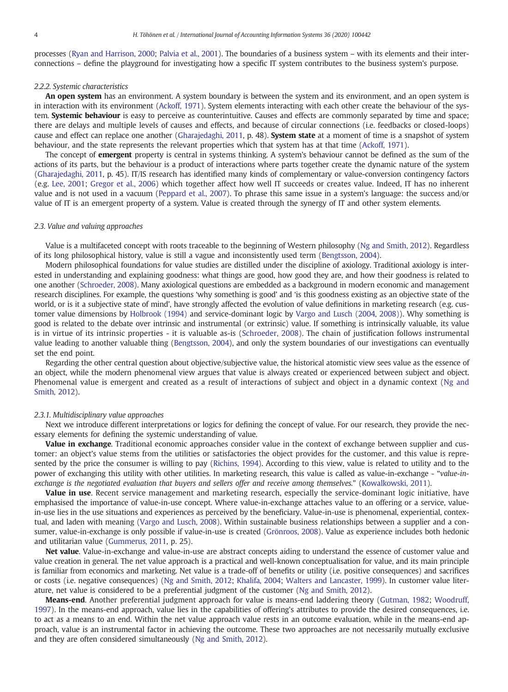processes (Ryan and Harrison, 2000; Palvia et al., 2001). The boundaries of a business system – with its elements and their interconnections – define the playground for investigating how a specific IT system contributes to the business system's purpose.

#### 2.2.2. Systemic characteristics

An open system has an environment. A system boundary is between the system and its environment, and an open system is in interaction with its environment (Ackoff, 1971). System elements interacting with each other create the behaviour of the system. Systemic behaviour is easy to perceive as counterintuitive. Causes and effects are commonly separated by time and space; there are delays and multiple levels of causes and effects, and because of circular connections (i.e. feedbacks or closed-loops) cause and effect can replace one another (Gharajedaghi, 2011, p. 48). System state at a moment of time is a snapshot of system behaviour, and the state represents the relevant properties which that system has at that time (Ackoff, 1971).

The concept of **emergent** property is central in systems thinking. A system's behaviour cannot be defined as the sum of the actions of its parts, but the behaviour is a product of interactions where parts together create the dynamic nature of the system (Gharajedaghi, 2011, p. 45). IT/IS research has identified many kinds of complementary or value-conversion contingency factors (e.g. Lee, 2001; Gregor et al., 2006) which together affect how well IT succeeds or creates value. Indeed, IT has no inherent value and is not used in a vacuum (Peppard et al., 2007). To phrase this same issue in a system's language: the success and/or value of IT is an emergent property of a system. Value is created through the synergy of IT and other system elements.

#### 2.3. Value and valuing approaches

Value is a multifaceted concept with roots traceable to the beginning of Western philosophy (Ng and Smith, 2012). Regardless of its long philosophical history, value is still a vague and inconsistently used term (Bengtsson, 2004).

Modern philosophical foundations for value studies are distilled under the discipline of axiology. Traditional axiology is interested in understanding and explaining goodness: what things are good, how good they are, and how their goodness is related to one another (Schroeder, 2008). Many axiological questions are embedded as a background in modern economic and management research disciplines. For example, the questions 'why something is good' and 'is this goodness existing as an objective state of the world, or is it a subjective state of mind', have strongly affected the evolution of value definitions in marketing research (e.g. customer value dimensions by Holbrook (1994) and service-dominant logic by Vargo and Lusch (2004, 2008)). Why something is good is related to the debate over intrinsic and instrumental (or extrinsic) value. If something is intrinsically valuable, its value is in virtue of its intrinsic properties - it is valuable as-is (Schroeder, 2008). The chain of justification follows instrumental value leading to another valuable thing (Bengtsson, 2004), and only the system boundaries of our investigations can eventually set the end point.

Regarding the other central question about objective/subjective value, the historical atomistic view sees value as the essence of an object, while the modern phenomenal view argues that value is always created or experienced between subject and object. Phenomenal value is emergent and created as a result of interactions of subject and object in a dynamic context (Ng and Smith, 2012).

#### 2.3.1. Multidisciplinary value approaches

Next we introduce different interpretations or logics for defining the concept of value. For our research, they provide the necessary elements for defining the systemic understanding of value.

Value in exchange. Traditional economic approaches consider value in the context of exchange between supplier and customer: an object's value stems from the utilities or satisfactories the object provides for the customer, and this value is represented by the price the consumer is willing to pay (Richins, 1994). According to this view, value is related to utility and to the power of exchanging this utility with other utilities. In marketing research, this value is called as value-in-exchange - "value-inexchange is the negotiated evaluation that buyers and sellers offer and receive among themselves." (Kowalkowski, 2011).

Value in use. Recent service management and marketing research, especially the service-dominant logic initiative, have emphasised the importance of value-in-use concept. Where value-in-exchange attaches value to an offering or a service, valuein-use lies in the use situations and experiences as perceived by the beneficiary. Value-in-use is phenomenal, experiential, contextual, and laden with meaning (Vargo and Lusch, 2008). Within sustainable business relationships between a supplier and a consumer, value-in-exchange is only possible if value-in-use is created (Grönroos, 2008). Value as experience includes both hedonic and utilitarian value (Gummerus, 2011, p. 25).

Net value. Value-in-exchange and value-in-use are abstract concepts aiding to understand the essence of customer value and value creation in general. The net value approach is a practical and well-known conceptualisation for value, and its main principle is familiar from economics and marketing. Net value is a trade-off of benefits or utility (i.e. positive consequences) and sacrifices or costs (i.e. negative consequences) (Ng and Smith, 2012; Khalifa, 2004; Walters and Lancaster, 1999). In customer value literature, net value is considered to be a preferential judgment of the customer (Ng and Smith, 2012).

Means-end. Another preferential judgment approach for value is means-end laddering theory (Gutman, 1982; Woodruff, 1997). In the means-end approach, value lies in the capabilities of offering's attributes to provide the desired consequences, i.e. to act as a means to an end. Within the net value approach value rests in an outcome evaluation, while in the means-end approach, value is an instrumental factor in achieving the outcome. These two approaches are not necessarily mutually exclusive and they are often considered simultaneously (Ng and Smith, 2012).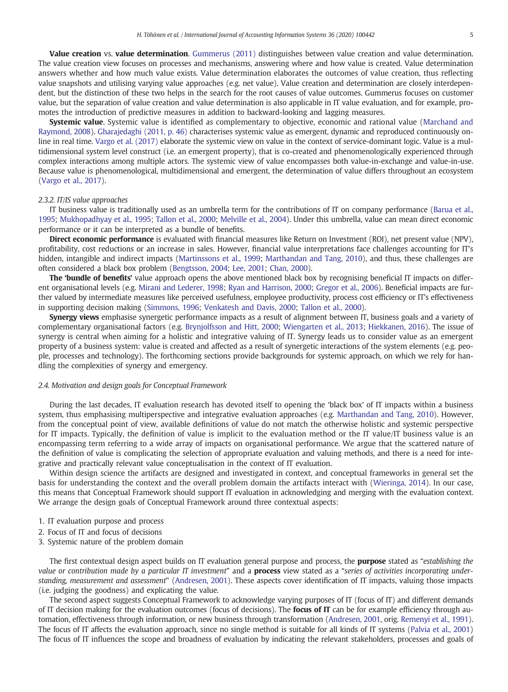Value creation vs. value determination. Gummerus (2011) distinguishes between value creation and value determination. The value creation view focuses on processes and mechanisms, answering where and how value is created. Value determination answers whether and how much value exists. Value determination elaborates the outcomes of value creation, thus reflecting value snapshots and utilising varying value approaches (e.g. net value). Value creation and determination are closely interdependent, but the distinction of these two helps in the search for the root causes of value outcomes. Gummerus focuses on customer value, but the separation of value creation and value determination is also applicable in IT value evaluation, and for example, promotes the introduction of predictive measures in addition to backward-looking and lagging measures.

Systemic value. Systemic value is identified as complementary to objective, economic and rational value (Marchand and Raymond, 2008). Gharajedaghi (2011, p. 46) characterises systemic value as emergent, dynamic and reproduced continuously online in real time. Vargo et al. (2017) elaborate the systemic view on value in the context of service-dominant logic. Value is a multidimensional system level construct (i.e. an emergent property), that is co-created and phenomenologically experienced through complex interactions among multiple actors. The systemic view of value encompasses both value-in-exchange and value-in-use. Because value is phenomenological, multidimensional and emergent, the determination of value differs throughout an ecosystem (Vargo et al., 2017).

#### 2.3.2. IT/IS value approaches

IT business value is traditionally used as an umbrella term for the contributions of IT on company performance (Barua et al., 1995; Mukhopadhyay et al., 1995; Tallon et al., 2000; Melville et al., 2004). Under this umbrella, value can mean direct economic performance or it can be interpreted as a bundle of benefits.

Direct economic performance is evaluated with financial measures like Return on Investment (ROI), net present value (NPV), profitability, cost reductions or an increase in sales. However, financial value interpretations face challenges accounting for IT's hidden, intangible and indirect impacts (Martinssons et al., 1999; Marthandan and Tang, 2010), and thus, these challenges are often considered a black box problem (Bengtsson, 2004; Lee, 2001; Chan, 2000).

The 'bundle of benefits' value approach opens the above mentioned black box by recognising beneficial IT impacts on different organisational levels (e.g. Mirani and Lederer, 1998; Ryan and Harrison, 2000; Gregor et al., 2006). Beneficial impacts are further valued by intermediate measures like perceived usefulness, employee productivity, process cost efficiency or IT's effectiveness in supporting decision making (Simmons, 1996; Venkatesh and Davis, 2000; Tallon et al., 2000).

Synergy views emphasise synergetic performance impacts as a result of alignment between IT, business goals and a variety of complementary organisational factors (e.g. Brynjolfsson and Hitt, 2000; Wiengarten et al., 2013; Hiekkanen, 2016). The issue of synergy is central when aiming for a holistic and integrative valuing of IT. Synergy leads us to consider value as an emergent property of a business system: value is created and affected as a result of synergetic interactions of the system elements (e.g. people, processes and technology). The forthcoming sections provide backgrounds for systemic approach, on which we rely for handling the complexities of synergy and emergency.

#### 2.4. Motivation and design goals for Conceptual Framework

During the last decades, IT evaluation research has devoted itself to opening the 'black box' of IT impacts within a business system, thus emphasising multiperspective and integrative evaluation approaches (e.g. Marthandan and Tang, 2010). However, from the conceptual point of view, available definitions of value do not match the otherwise holistic and systemic perspective for IT impacts. Typically, the definition of value is implicit to the evaluation method or the IT value/IT business value is an encompassing term referring to a wide array of impacts on organisational performance. We argue that the scattered nature of the definition of value is complicating the selection of appropriate evaluation and valuing methods, and there is a need for integrative and practically relevant value conceptualisation in the context of IT evaluation.

Within design science the artifacts are designed and investigated in context, and conceptual frameworks in general set the basis for understanding the context and the overall problem domain the artifacts interact with (Wieringa, 2014). In our case, this means that Conceptual Framework should support IT evaluation in acknowledging and merging with the evaluation context. We arrange the design goals of Conceptual Framework around three contextual aspects:

- 1. IT evaluation purpose and process
- 2. Focus of IT and focus of decisions
- 3. Systemic nature of the problem domain

The first contextual design aspect builds on IT evaluation general purpose and process, the **purpose** stated as "establishing the value or contribution made by a particular IT investment" and a **process** view stated as a "series of activities incorporating understanding, measurement and assessment" (Andresen, 2001). These aspects cover identification of IT impacts, valuing those impacts (i.e. judging the goodness) and explicating the value.

The second aspect suggests Conceptual Framework to acknowledge varying purposes of IT (focus of IT) and different demands of IT decision making for the evaluation outcomes (focus of decisions). The **focus of IT** can be for example efficiency through automation, effectiveness through information, or new business through transformation (Andresen, 2001, orig. Remenyi et al., 1991). The focus of IT affects the evaluation approach, since no single method is suitable for all kinds of IT systems (Palvia et al., 2001) The focus of IT influences the scope and broadness of evaluation by indicating the relevant stakeholders, processes and goals of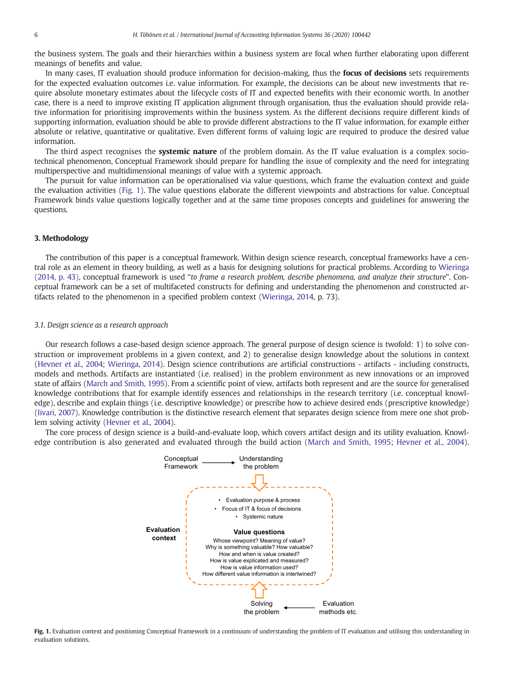the business system. The goals and their hierarchies within a business system are focal when further elaborating upon different meanings of benefits and value.

In many cases, IT evaluation should produce information for decision-making, thus the **focus of decisions** sets requirements for the expected evaluation outcomes i.e. value information. For example, the decisions can be about new investments that require absolute monetary estimates about the lifecycle costs of IT and expected benefits with their economic worth. In another case, there is a need to improve existing IT application alignment through organisation, thus the evaluation should provide relative information for prioritising improvements within the business system. As the different decisions require different kinds of supporting information, evaluation should be able to provide different abstractions to the IT value information, for example either absolute or relative, quantitative or qualitative. Even different forms of valuing logic are required to produce the desired value information.

The third aspect recognises the **systemic nature** of the problem domain. As the IT value evaluation is a complex sociotechnical phenomenon, Conceptual Framework should prepare for handling the issue of complexity and the need for integrating multiperspective and multidimensional meanings of value with a systemic approach.

The pursuit for value information can be operationalised via value questions, which frame the evaluation context and guide the evaluation activities (Fig. 1). The value questions elaborate the different viewpoints and abstractions for value. Conceptual Framework binds value questions logically together and at the same time proposes concepts and guidelines for answering the questions.

#### 3. Methodology

The contribution of this paper is a conceptual framework. Within design science research, conceptual frameworks have a central role as an element in theory building, as well as a basis for designing solutions for practical problems. According to Wieringa (2014, p. 43), conceptual framework is used "to frame a research problem, describe phenomena, and analyze their structure". Conceptual framework can be a set of multifaceted constructs for defining and understanding the phenomenon and constructed artifacts related to the phenomenon in a specified problem context (Wieringa, 2014, p. 73).

#### 3.1. Design science as a research approach

Our research follows a case-based design science approach. The general purpose of design science is twofold: 1) to solve construction or improvement problems in a given context, and 2) to generalise design knowledge about the solutions in context (Hevner et al., 2004; Wieringa, 2014). Design science contributions are artificial constructions - artifacts - including constructs, models and methods. Artifacts are instantiated (i.e. realised) in the problem environment as new innovations or an improved state of affairs (March and Smith, 1995). From a scientific point of view, artifacts both represent and are the source for generalised knowledge contributions that for example identify essences and relationships in the research territory (i.e. conceptual knowledge), describe and explain things (i.e. descriptive knowledge) or prescribe how to achieve desired ends (prescriptive knowledge) (Iivari, 2007). Knowledge contribution is the distinctive research element that separates design science from mere one shot problem solving activity (Hevner et al., 2004).

The core process of design science is a build-and-evaluate loop, which covers artifact design and its utility evaluation. Knowledge contribution is also generated and evaluated through the build action (March and Smith, 1995; Hevner et al., 2004).



Fig. 1. Evaluation context and positioning Conceptual Framework in a continuum of understanding the problem of IT evaluation and utilising this understanding in evaluation solutions.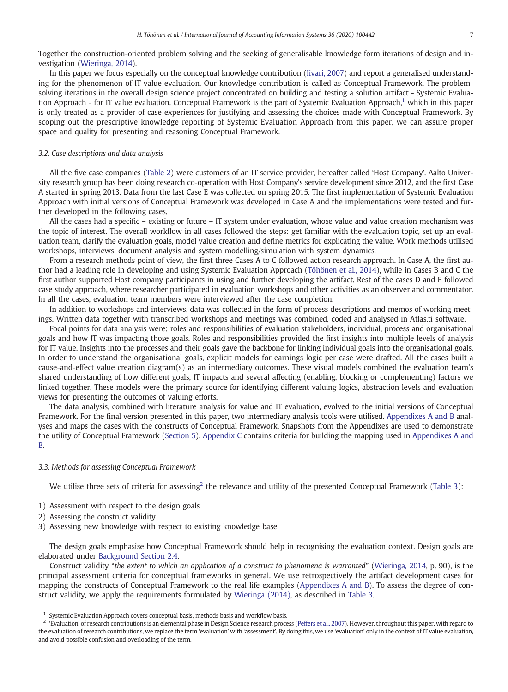Together the construction-oriented problem solving and the seeking of generalisable knowledge form iterations of design and investigation (Wieringa, 2014).

In this paper we focus especially on the conceptual knowledge contribution (Iivari, 2007) and report a generalised understanding for the phenomenon of IT value evaluation. Our knowledge contribution is called as Conceptual Framework. The problemsolving iterations in the overall design science project concentrated on building and testing a solution artifact - Systemic Evaluation Approach - for IT value evaluation. Conceptual Framework is the part of Systemic Evaluation Approach, $1$  which in this paper is only treated as a provider of case experiences for justifying and assessing the choices made with Conceptual Framework. By scoping out the prescriptive knowledge reporting of Systemic Evaluation Approach from this paper, we can assure proper space and quality for presenting and reasoning Conceptual Framework.

#### 3.2. Case descriptions and data analysis

All the five case companies (Table 2) were customers of an IT service provider, hereafter called 'Host Company'. Aalto University research group has been doing research co-operation with Host Company's service development since 2012, and the first Case A started in spring 2013. Data from the last Case E was collected on spring 2015. The first implementation of Systemic Evaluation Approach with initial versions of Conceptual Framework was developed in Case A and the implementations were tested and further developed in the following cases.

All the cases had a specific – existing or future – IT system under evaluation, whose value and value creation mechanism was the topic of interest. The overall workflow in all cases followed the steps: get familiar with the evaluation topic, set up an evaluation team, clarify the evaluation goals, model value creation and define metrics for explicating the value. Work methods utilised workshops, interviews, document analysis and system modelling/simulation with system dynamics.

From a research methods point of view, the first three Cases A to C followed action research approach. In Case A, the first author had a leading role in developing and using Systemic Evaluation Approach (Töhönen et al., 2014), while in Cases B and C the first author supported Host company participants in using and further developing the artifact. Rest of the cases D and E followed case study approach, where researcher participated in evaluation workshops and other activities as an observer and commentator. In all the cases, evaluation team members were interviewed after the case completion.

In addition to workshops and interviews, data was collected in the form of process descriptions and memos of working meetings. Written data together with transcribed workshops and meetings was combined, coded and analysed in Atlas.ti software.

Focal points for data analysis were: roles and responsibilities of evaluation stakeholders, individual, process and organisational goals and how IT was impacting those goals. Roles and responsibilities provided the first insights into multiple levels of analysis for IT value. Insights into the processes and their goals gave the backbone for linking individual goals into the organisational goals. In order to understand the organisational goals, explicit models for earnings logic per case were drafted. All the cases built a cause-and-effect value creation diagram(s) as an intermediary outcomes. These visual models combined the evaluation team's shared understanding of how different goals, IT impacts and several affecting (enabling, blocking or complementing) factors we linked together. These models were the primary source for identifying different valuing logics, abstraction levels and evaluation views for presenting the outcomes of valuing efforts.

The data analysis, combined with literature analysis for value and IT evaluation, evolved to the initial versions of Conceptual Framework. For the final version presented in this paper, two intermediary analysis tools were utilised. Appendixes A and B analyses and maps the cases with the constructs of Conceptual Framework. Snapshots from the Appendixes are used to demonstrate the utility of Conceptual Framework (Section 5). Appendix C contains criteria for building the mapping used in Appendixes A and B.

#### 3.3. Methods for assessing Conceptual Framework

We utilise three sets of criteria for assessing<sup>2</sup> the relevance and utility of the presented Conceptual Framework (Table 3):

- 1) Assessment with respect to the design goals
- 2) Assessing the construct validity
- 3) Assessing new knowledge with respect to existing knowledge base

The design goals emphasise how Conceptual Framework should help in recognising the evaluation context. Design goals are elaborated under Background Section 2.4.

Construct validity "the extent to which an application of a construct to phenomena is warranted" (Wieringa, 2014, p. 90), is the principal assessment criteria for conceptual frameworks in general. We use retrospectively the artifact development cases for mapping the constructs of Conceptual Framework to the real life examples (Appendixes A and B). To assess the degree of construct validity, we apply the requirements formulated by Wieringa (2014), as described in Table 3.

Systemic Evaluation Approach covers conceptual basis, methods basis and workflow basis.

<sup>2</sup> 'Evaluation' of research contributions is an elemental phase in Design Science research process (Peffers et al., 2007). However, throughout this paper, with regard to the evaluation of research contributions, we replace the term 'evaluation' with 'assessment'. By doing this, we use 'evaluation' only in the context of IT value evaluation, and avoid possible confusion and overloading of the term.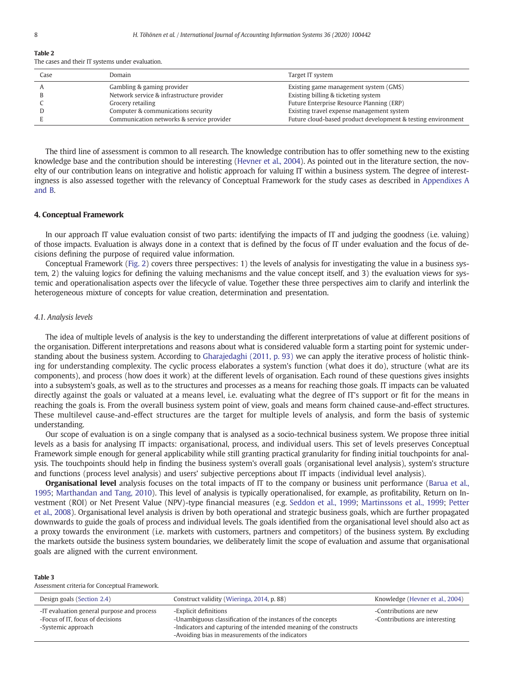$T = T$ 

| rapic 4 |  |  |                                                  |  |
|---------|--|--|--------------------------------------------------|--|
|         |  |  | The cases and their IT systems under evaluation. |  |

| Case | Domain                                    | Target IT system                                             |
|------|-------------------------------------------|--------------------------------------------------------------|
|      | Gambling & gaming provider                | Existing game management system (GMS)                        |
|      | Network service & infrastructure provider | Existing billing & ticketing system                          |
|      | Grocery retailing                         | Future Enterprise Resource Planning (ERP)                    |
|      | Computer & communications security        | Existing travel expense management system                    |
|      | Communication networks & service provider | Future cloud-based product development & testing environment |

The third line of assessment is common to all research. The knowledge contribution has to offer something new to the existing knowledge base and the contribution should be interesting (Hevner et al., 2004). As pointed out in the literature section, the novelty of our contribution leans on integrative and holistic approach for valuing IT within a business system. The degree of interestingness is also assessed together with the relevancy of Conceptual Framework for the study cases as described in Appendixes A and B.

#### 4. Conceptual Framework

In our approach IT value evaluation consist of two parts: identifying the impacts of IT and judging the goodness (i.e. valuing) of those impacts. Evaluation is always done in a context that is defined by the focus of IT under evaluation and the focus of decisions defining the purpose of required value information.

Conceptual Framework (Fig. 2) covers three perspectives: 1) the levels of analysis for investigating the value in a business system, 2) the valuing logics for defining the valuing mechanisms and the value concept itself, and 3) the evaluation views for systemic and operationalisation aspects over the lifecycle of value. Together these three perspectives aim to clarify and interlink the heterogeneous mixture of concepts for value creation, determination and presentation.

#### 4.1. Analysis levels

The idea of multiple levels of analysis is the key to understanding the different interpretations of value at different positions of the organisation. Different interpretations and reasons about what is considered valuable form a starting point for systemic understanding about the business system. According to Gharajedaghi (2011, p. 93) we can apply the iterative process of holistic thinking for understanding complexity. The cyclic process elaborates a system's function (what does it do), structure (what are its components), and process (how does it work) at the different levels of organisation. Each round of these questions gives insights into a subsystem's goals, as well as to the structures and processes as a means for reaching those goals. IT impacts can be valuated directly against the goals or valuated at a means level, i.e. evaluating what the degree of IT's support or fit for the means in reaching the goals is. From the overall business system point of view, goals and means form chained cause-and-effect structures. These multilevel cause-and-effect structures are the target for multiple levels of analysis, and form the basis of systemic understanding.

Our scope of evaluation is on a single company that is analysed as a socio-technical business system. We propose three initial levels as a basis for analysing IT impacts: organisational, process, and individual users. This set of levels preserves Conceptual Framework simple enough for general applicability while still granting practical granularity for finding initial touchpoints for analysis. The touchpoints should help in finding the business system's overall goals (organisational level analysis), system's structure and functions (process level analysis) and users' subjective perceptions about IT impacts (individual level analysis).

Organisational level analysis focuses on the total impacts of IT to the company or business unit performance (Barua et al., 1995; Marthandan and Tang, 2010). This level of analysis is typically operationalised, for example, as profitability, Return on Investment (ROI) or Net Present Value (NPV)-type financial measures (e.g. Seddon et al., 1999; Martinssons et al., 1999; Petter et al., 2008). Organisational level analysis is driven by both operational and strategic business goals, which are further propagated downwards to guide the goals of process and individual levels. The goals identified from the organisational level should also act as a proxy towards the environment (i.e. markets with customers, partners and competitors) of the business system. By excluding the markets outside the business system boundaries, we deliberately limit the scope of evaluation and assume that organisational goals are aligned with the current environment.

#### Table 3

Assessment criteria for Conceptual Framework.

| Design goals (Section 2.4)                                                                           | Construct validity (Wieringa, 2014, p. 88)                                                                                                                                                                       | Knowledge (Hevner et al., 2004)                          |
|------------------------------------------------------------------------------------------------------|------------------------------------------------------------------------------------------------------------------------------------------------------------------------------------------------------------------|----------------------------------------------------------|
| -IT evaluation general purpose and process<br>-Focus of IT, focus of decisions<br>-Systemic approach | -Explicit definitions<br>-Unambiguous classification of the instances of the concepts<br>-Indicators and capturing of the intended meaning of the constructs<br>-Avoiding bias in measurements of the indicators | -Contributions are new<br>-Contributions are interesting |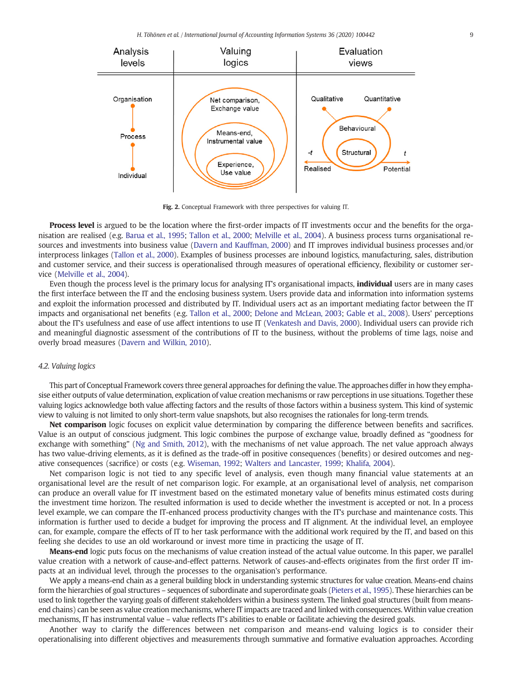H. Töhönen et al. / International Journal of Accounting Information Systems 36 (2020) 100442 9



Fig. 2. Conceptual Framework with three perspectives for valuing IT.

Process level is argued to be the location where the first-order impacts of IT investments occur and the benefits for the organisation are realised (e.g. Barua et al., 1995; Tallon et al., 2000; Melville et al., 2004). A business process turns organisational resources and investments into business value (Davern and Kauffman, 2000) and IT improves individual business processes and/or interprocess linkages (Tallon et al., 2000). Examples of business processes are inbound logistics, manufacturing, sales, distribution and customer service, and their success is operationalised through measures of operational efficiency, flexibility or customer service (Melville et al., 2004).

Even though the process level is the primary locus for analysing IT's organisational impacts, **individual** users are in many cases the first interface between the IT and the enclosing business system. Users provide data and information into information systems and exploit the information processed and distributed by IT. Individual users act as an important mediating factor between the IT impacts and organisational net benefits (e.g. Tallon et al., 2000; Delone and McLean, 2003; Gable et al., 2008). Users' perceptions about the IT's usefulness and ease of use affect intentions to use IT (Venkatesh and Davis, 2000). Individual users can provide rich and meaningful diagnostic assessment of the contributions of IT to the business, without the problems of time lags, noise and overly broad measures (Davern and Wilkin, 2010).

#### 4.2. Valuing logics

This part of Conceptual Framework covers three general approaches for defining the value. The approaches differ in how they emphasise either outputs of value determination, explication of value creation mechanisms or raw perceptions in use situations. Together these valuing logics acknowledge both value affecting factors and the results of those factors within a business system. This kind of systemic view to valuing is not limited to only short-term value snapshots, but also recognises the rationales for long-term trends.

Net comparison logic focuses on explicit value determination by comparing the difference between benefits and sacrifices. Value is an output of conscious judgment. This logic combines the purpose of exchange value, broadly defined as "goodness for exchange with something" (Ng and Smith, 2012), with the mechanisms of net value approach. The net value approach always has two value-driving elements, as it is defined as the trade-off in positive consequences (benefits) or desired outcomes and negative consequences (sacrifice) or costs (e.g. Wiseman, 1992; Walters and Lancaster, 1999; Khalifa, 2004).

Net comparison logic is not tied to any specific level of analysis, even though many financial value statements at an organisational level are the result of net comparison logic. For example, at an organisational level of analysis, net comparison can produce an overall value for IT investment based on the estimated monetary value of benefits minus estimated costs during the investment time horizon. The resulted information is used to decide whether the investment is accepted or not. In a process level example, we can compare the IT-enhanced process productivity changes with the IT's purchase and maintenance costs. This information is further used to decide a budget for improving the process and IT alignment. At the individual level, an employee can, for example, compare the effects of IT to her task performance with the additional work required by the IT, and based on this feeling she decides to use an old workaround or invest more time in practicing the usage of IT.

Means-end logic puts focus on the mechanisms of value creation instead of the actual value outcome. In this paper, we parallel value creation with a network of cause-and-effect patterns. Network of causes-and-effects originates from the first order IT impacts at an individual level, through the processes to the organisation's performance.

We apply a means-end chain as a general building block in understanding systemic structures for value creation. Means-end chains form the hierarchies of goal structures – sequences of subordinate and superordinate goals (Pieters et al., 1995). These hierarchies can be used to link together the varying goals of different stakeholders within a business system. The linked goal structures (built from meansend chains) can be seen as value creation mechanisms, where IT impacts are traced and linked with consequences. Within value creation mechanisms, IT has instrumental value – value reflects IT's abilities to enable or facilitate achieving the desired goals.

Another way to clarify the differences between net comparison and means-end valuing logics is to consider their operationalising into different objectives and measurements through summative and formative evaluation approaches. According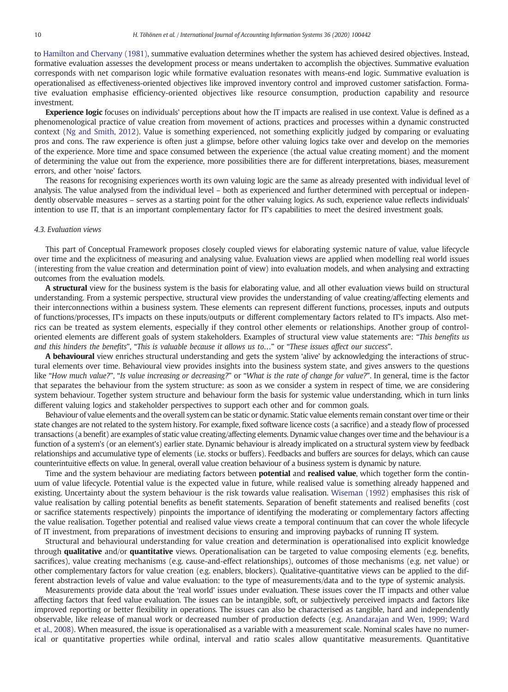to Hamilton and Chervany (1981), summative evaluation determines whether the system has achieved desired objectives. Instead, formative evaluation assesses the development process or means undertaken to accomplish the objectives. Summative evaluation corresponds with net comparison logic while formative evaluation resonates with means-end logic. Summative evaluation is operationalised as effectiveness-oriented objectives like improved inventory control and improved customer satisfaction. Formative evaluation emphasise efficiency-oriented objectives like resource consumption, production capability and resource investment.

**Experience logic** focuses on individuals' perceptions about how the IT impacts are realised in use context. Value is defined as a phenomenological practice of value creation from movement of actions, practices and processes within a dynamic constructed context (Ng and Smith, 2012). Value is something experienced, not something explicitly judged by comparing or evaluating pros and cons. The raw experience is often just a glimpse, before other valuing logics take over and develop on the memories of the experience. More time and space consumed between the experience (the actual value creating moment) and the moment of determining the value out from the experience, more possibilities there are for different interpretations, biases, measurement errors, and other 'noise' factors.

The reasons for recognising experiences worth its own valuing logic are the same as already presented with individual level of analysis. The value analysed from the individual level – both as experienced and further determined with perceptual or independently observable measures – serves as a starting point for the other valuing logics. As such, experience value reflects individuals' intention to use IT, that is an important complementary factor for IT's capabilities to meet the desired investment goals.

#### 4.3. Evaluation views

This part of Conceptual Framework proposes closely coupled views for elaborating systemic nature of value, value lifecycle over time and the explicitness of measuring and analysing value. Evaluation views are applied when modelling real world issues (interesting from the value creation and determination point of view) into evaluation models, and when analysing and extracting outcomes from the evaluation models.

A structural view for the business system is the basis for elaborating value, and all other evaluation views build on structural understanding. From a systemic perspective, structural view provides the understanding of value creating/affecting elements and their interconnections within a business system. These elements can represent different functions, processes, inputs and outputs of functions/processes, IT's impacts on these inputs/outputs or different complementary factors related to IT's impacts. Also metrics can be treated as system elements, especially if they control other elements or relationships. Another group of controloriented elements are different goals of system stakeholders. Examples of structural view value statements are: "This benefits us and this hinders the benefits", "This is valuable because it allows us to…" or "These issues affect our success".

A behavioural view enriches structural understanding and gets the system 'alive' by acknowledging the interactions of structural elements over time. Behavioural view provides insights into the business system state, and gives answers to the questions like "How much value?", "Is value increasing or decreasing?" or "What is the rate of change for value?". In general, time is the factor that separates the behaviour from the system structure: as soon as we consider a system in respect of time, we are considering system behaviour. Together system structure and behaviour form the basis for systemic value understanding, which in turn links different valuing logics and stakeholder perspectives to support each other and for common goals.

Behaviour of value elements and the overall system can be static or dynamic. Static value elements remain constant over time or their state changes are not related to the system history. For example, fixed software licence costs (a sacrifice) and a steady flow of processed transactions (a benefit) are examples of static value creating/affecting elements. Dynamic value changes over time and the behaviour is a function of a system's (or an element's) earlier state. Dynamic behaviour is already implicated on a structural system view by feedback relationships and accumulative type of elements (i.e. stocks or buffers). Feedbacks and buffers are sources for delays, which can cause counterintuitive effects on value. In general, overall value creation behaviour of a business system is dynamic by nature.

Time and the system behaviour are mediating factors between **potential** and **realised value**, which together form the continuum of value lifecycle. Potential value is the expected value in future, while realised value is something already happened and existing. Uncertainty about the system behaviour is the risk towards value realisation. Wiseman (1992) emphasises this risk of value realisation by calling potential benefits as benefit statements. Separation of benefit statements and realised benefits (cost or sacrifice statements respectively) pinpoints the importance of identifying the moderating or complementary factors affecting the value realisation. Together potential and realised value views create a temporal continuum that can cover the whole lifecycle of IT investment, from preparations of investment decisions to ensuring and improving paybacks of running IT system.

Structural and behavioural understanding for value creation and determination is operationalised into explicit knowledge through qualitative and/or quantitative views. Operationalisation can be targeted to value composing elements (e.g. benefits, sacrifices), value creating mechanisms (e.g. cause-and-effect relationships), outcomes of those mechanisms (e.g. net value) or other complementary factors for value creation (e.g. enablers, blockers). Qualitative-quantitative views can be applied to the different abstraction levels of value and value evaluation: to the type of measurements/data and to the type of systemic analysis.

Measurements provide data about the 'real world' issues under evaluation. These issues cover the IT impacts and other value affecting factors that feed value evaluation. The issues can be intangible, soft, or subjectively perceived impacts and factors like improved reporting or better flexibility in operations. The issues can also be characterised as tangible, hard and independently observable, like release of manual work or decreased number of production defects (e.g. Anandarajan and Wen, 1999; Ward et al., 2008). When measured, the issue is operationalised as a variable with a measurement scale. Nominal scales have no numerical or quantitative properties while ordinal, interval and ratio scales allow quantitative measurements. Quantitative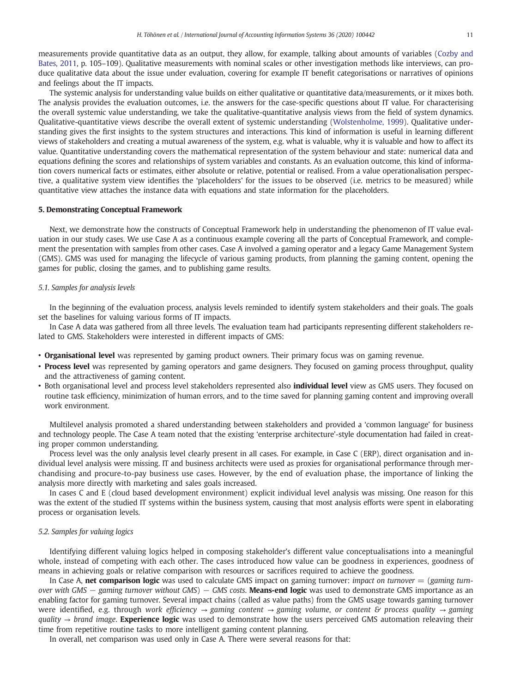measurements provide quantitative data as an output, they allow, for example, talking about amounts of variables (Cozby and Bates, 2011, p. 105–109). Qualitative measurements with nominal scales or other investigation methods like interviews, can produce qualitative data about the issue under evaluation, covering for example IT benefit categorisations or narratives of opinions and feelings about the IT impacts.

The systemic analysis for understanding value builds on either qualitative or quantitative data/measurements, or it mixes both. The analysis provides the evaluation outcomes, i.e. the answers for the case-specific questions about IT value. For characterising the overall systemic value understanding, we take the qualitative-quantitative analysis views from the field of system dynamics. Qualitative-quantitative views describe the overall extent of systemic understanding (Wolstenholme, 1999). Qualitative understanding gives the first insights to the system structures and interactions. This kind of information is useful in learning different views of stakeholders and creating a mutual awareness of the system, e.g. what is valuable, why it is valuable and how to affect its value. Quantitative understanding covers the mathematical representation of the system behaviour and state: numerical data and equations defining the scores and relationships of system variables and constants. As an evaluation outcome, this kind of information covers numerical facts or estimates, either absolute or relative, potential or realised. From a value operationalisation perspective, a qualitative system view identifies the 'placeholders' for the issues to be observed (i.e. metrics to be measured) while quantitative view attaches the instance data with equations and state information for the placeholders.

#### 5. Demonstrating Conceptual Framework

Next, we demonstrate how the constructs of Conceptual Framework help in understanding the phenomenon of IT value evaluation in our study cases. We use Case A as a continuous example covering all the parts of Conceptual Framework, and complement the presentation with samples from other cases. Case A involved a gaming operator and a legacy Game Management System (GMS). GMS was used for managing the lifecycle of various gaming products, from planning the gaming content, opening the games for public, closing the games, and to publishing game results.

#### 5.1. Samples for analysis levels

In the beginning of the evaluation process, analysis levels reminded to identify system stakeholders and their goals. The goals set the baselines for valuing various forms of IT impacts.

In Case A data was gathered from all three levels. The evaluation team had participants representing different stakeholders related to GMS. Stakeholders were interested in different impacts of GMS:

- Organisational level was represented by gaming product owners. Their primary focus was on gaming revenue.
- Process level was represented by gaming operators and game designers. They focused on gaming process throughput, quality and the attractiveness of gaming content.
- Both organisational level and process level stakeholders represented also *individual level* view as GMS users. They focused on routine task efficiency, minimization of human errors, and to the time saved for planning gaming content and improving overall work environment.

Multilevel analysis promoted a shared understanding between stakeholders and provided a 'common language' for business and technology people. The Case A team noted that the existing 'enterprise architecture'-style documentation had failed in creating proper common understanding.

Process level was the only analysis level clearly present in all cases. For example, in Case C (ERP), direct organisation and individual level analysis were missing. IT and business architects were used as proxies for organisational performance through merchandising and procure-to-pay business use cases. However, by the end of evaluation phase, the importance of linking the analysis more directly with marketing and sales goals increased.

In cases C and E (cloud based development environment) explicit individual level analysis was missing. One reason for this was the extent of the studied IT systems within the business system, causing that most analysis efforts were spent in elaborating process or organisation levels.

#### 5.2. Samples for valuing logics

Identifying different valuing logics helped in composing stakeholder's different value conceptualisations into a meaningful whole, instead of competing with each other. The cases introduced how value can be goodness in experiences, goodness of means in achieving goals or relative comparison with resources or sacrifices required to achieve the goodness.

In Case A, net comparison logic was used to calculate GMS impact on gaming turnover: impact on turnover  $=$  (gaming turnover with GMS  $-$  gaming turnover without GMS)  $-$  GMS costs. **Means-end logic** was used to demonstrate GMS importance as an enabling factor for gaming turnover. Several impact chains (called as value paths) from the GMS usage towards gaming turnover were identified, e.g. through work efficiency  $\rightarrow$  gaming content  $\rightarrow$  gaming volume, or content & process quality  $\rightarrow$  gaming quality  $\rightarrow$  brand image. Experience logic was used to demonstrate how the users perceived GMS automation releaving their time from repetitive routine tasks to more intelligent gaming content planning.

In overall, net comparison was used only in Case A. There were several reasons for that: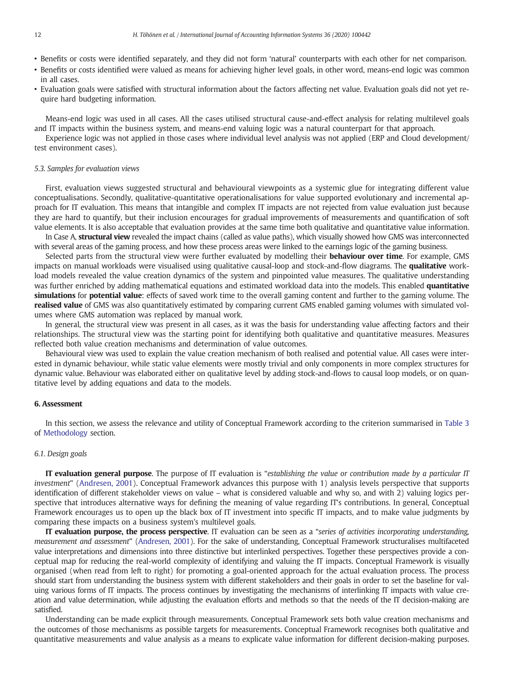- Benefits or costs were identified separately, and they did not form 'natural' counterparts with each other for net comparison.
- Benefits or costs identified were valued as means for achieving higher level goals, in other word, means-end logic was common in all cases.
- Evaluation goals were satisfied with structural information about the factors affecting net value. Evaluation goals did not yet require hard budgeting information.

Means-end logic was used in all cases. All the cases utilised structural cause-and-effect analysis for relating multilevel goals and IT impacts within the business system, and means-end valuing logic was a natural counterpart for that approach.

Experience logic was not applied in those cases where individual level analysis was not applied (ERP and Cloud development/ test environment cases).

#### 5.3. Samples for evaluation views

First, evaluation views suggested structural and behavioural viewpoints as a systemic glue for integrating different value conceptualisations. Secondly, qualitative-quantitative operationalisations for value supported evolutionary and incremental approach for IT evaluation. This means that intangible and complex IT impacts are not rejected from value evaluation just because they are hard to quantify, but their inclusion encourages for gradual improvements of measurements and quantification of soft value elements. It is also acceptable that evaluation provides at the same time both qualitative and quantitative value information.

In Case A, structural view revealed the impact chains (called as value paths), which visually showed how GMS was interconnected with several areas of the gaming process, and how these process areas were linked to the earnings logic of the gaming business.

Selected parts from the structural view were further evaluated by modelling their **behaviour over time**. For example, GMS impacts on manual workloads were visualised using qualitative causal-loop and stock-and-flow diagrams. The qualitative workload models revealed the value creation dynamics of the system and pinpointed value measures. The qualitative understanding was further enriched by adding mathematical equations and estimated workload data into the models. This enabled quantitative simulations for potential value: effects of saved work time to the overall gaming content and further to the gaming volume. The realised value of GMS was also quantitatively estimated by comparing current GMS enabled gaming volumes with simulated volumes where GMS automation was replaced by manual work.

In general, the structural view was present in all cases, as it was the basis for understanding value affecting factors and their relationships. The structural view was the starting point for identifying both qualitative and quantitative measures. Measures reflected both value creation mechanisms and determination of value outcomes.

Behavioural view was used to explain the value creation mechanism of both realised and potential value. All cases were interested in dynamic behaviour, while static value elements were mostly trivial and only components in more complex structures for dynamic value. Behaviour was elaborated either on qualitative level by adding stock-and-flows to causal loop models, or on quantitative level by adding equations and data to the models.

#### 6. Assessment

In this section, we assess the relevance and utility of Conceptual Framework according to the criterion summarised in Table 3 of Methodology section.

#### 6.1. Design goals

IT evaluation general purpose. The purpose of IT evaluation is "establishing the value or contribution made by a particular IT investment" (Andresen, 2001). Conceptual Framework advances this purpose with 1) analysis levels perspective that supports identification of different stakeholder views on value – what is considered valuable and why so, and with 2) valuing logics perspective that introduces alternative ways for defining the meaning of value regarding IT's contributions. In general, Conceptual Framework encourages us to open up the black box of IT investment into specific IT impacts, and to make value judgments by comparing these impacts on a business system's multilevel goals.

IT evaluation purpose, the process perspective. IT evaluation can be seen as a "series of activities incorporating understanding, measurement and assessment" (Andresen, 2001). For the sake of understanding, Conceptual Framework structuralises multifaceted value interpretations and dimensions into three distinctive but interlinked perspectives. Together these perspectives provide a conceptual map for reducing the real-world complexity of identifying and valuing the IT impacts. Conceptual Framework is visually organised (when read from left to right) for promoting a goal-oriented approach for the actual evaluation process. The process should start from understanding the business system with different stakeholders and their goals in order to set the baseline for valuing various forms of IT impacts. The process continues by investigating the mechanisms of interlinking IT impacts with value creation and value determination, while adjusting the evaluation efforts and methods so that the needs of the IT decision-making are satisfied.

Understanding can be made explicit through measurements. Conceptual Framework sets both value creation mechanisms and the outcomes of those mechanisms as possible targets for measurements. Conceptual Framework recognises both qualitative and quantitative measurements and value analysis as a means to explicate value information for different decision-making purposes.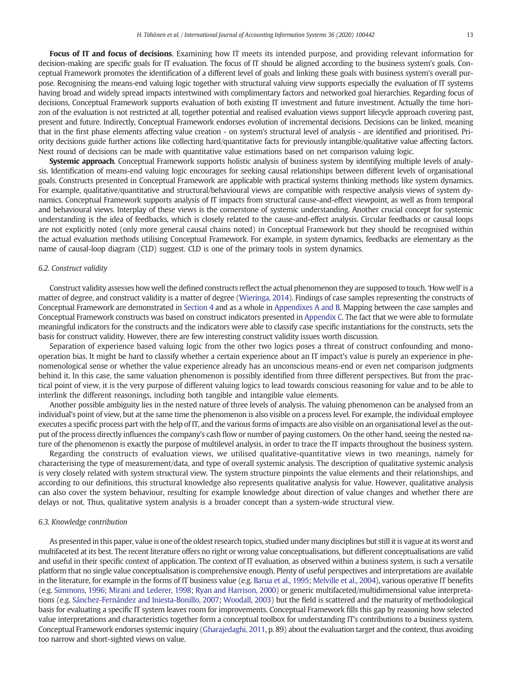Focus of IT and focus of decisions. Examining how IT meets its intended purpose, and providing relevant information for decision-making are specific goals for IT evaluation. The focus of IT should be aligned according to the business system's goals. Conceptual Framework promotes the identification of a different level of goals and linking these goals with business system's overall purpose. Recognising the means-end valuing logic together with structural valuing view supports especially the evaluation of IT systems having broad and widely spread impacts intertwined with complimentary factors and networked goal hierarchies. Regarding focus of decisions, Conceptual Framework supports evaluation of both existing IT investment and future investment. Actually the time horizon of the evaluation is not restricted at all, together potential and realised evaluation views support lifecycle approach covering past, present and future. Indirectly, Conceptual Framework endorses evolution of incremental decisions. Decisions can be linked, meaning that in the first phase elements affecting value creation - on system's structural level of analysis - are identified and prioritised. Priority decisions guide further actions like collecting hard/quantitative facts for previously intangible/qualitative value affecting factors. Next round of decisions can be made with quantitative value estimations based on net comparison valuing logic.

Systemic approach. Conceptual Framework supports holistic analysis of business system by identifying multiple levels of analysis. Identification of means-end valuing logic encourages for seeking causal relationships between different levels of organisational goals. Constructs presented in Conceptual Framework are applicable with practical systems thinking methods like system dynamics. For example, qualitative/quantitative and structural/behavioural views are compatible with respective analysis views of system dynamics. Conceptual Framework supports analysis of IT impacts from structural cause-and-effect viewpoint, as well as from temporal and behavioural views. Interplay of these views is the cornerstone of systemic understanding. Another crucial concept for systemic understanding is the idea of feedbacks, which is closely related to the cause-and-effect analysis. Circular feedbacks or causal loops are not explicitly noted (only more general causal chains noted) in Conceptual Framework but they should be recognised within the actual evaluation methods utilising Conceptual Framework. For example, in system dynamics, feedbacks are elementary as the name of causal-loop diagram (CLD) suggest. CLD is one of the primary tools in system dynamics.

#### 6.2. Construct validity

Construct validity assesses how well the defined constructs reflect the actual phenomenon they are supposed to touch. 'How well' is a matter of degree, and construct validity is a matter of degree (Wieringa, 2014). Findings of case samples representing the constructs of Conceptual Framework are demonstrated in Section 4 and as a whole in Appendixes A and B. Mapping between the case samples and Conceptual Framework constructs was based on construct indicators presented in Appendix C. The fact that we were able to formulate meaningful indicators for the constructs and the indicators were able to classify case specific instantiations for the constructs, sets the basis for construct validity. However, there are few interesting construct validity issues worth discussion.

Separation of experience based valuing logic from the other two logics poses a threat of construct confounding and monooperation bias. It might be hard to classify whether a certain experience about an IT impact's value is purely an experience in phenomenological sense or whether the value experience already has an unconscious means-end or even net comparison judgments behind it. In this case, the same valuation phenomenon is possibly identified from three different perspectives. But from the practical point of view, it is the very purpose of different valuing logics to lead towards conscious reasoning for value and to be able to interlink the different reasonings, including both tangible and intangible value elements.

Another possible ambiguity lies in the nested nature of three levels of analysis. The valuing phenomenon can be analysed from an individual's point of view, but at the same time the phenomenon is also visible on a process level. For example, the individual employee executes a specific process part with the help of IT, and the various forms of impacts are also visible on an organisational level as the output of the process directly influences the company's cash flow or number of paying customers. On the other hand, seeing the nested nature of the phenomenon is exactly the purpose of multilevel analysis, in order to trace the IT impacts throughout the business system.

Regarding the constructs of evaluation views, we utilised qualitative-quantitative views in two meanings, namely for characterising the type of measurement/data, and type of overall systemic analysis. The description of qualitative systemic analysis is very closely related with system structural view. The system structure pinpoints the value elements and their relationships, and according to our definitions, this structural knowledge also represents qualitative analysis for value. However, qualitative analysis can also cover the system behaviour, resulting for example knowledge about direction of value changes and whether there are delays or not. Thus, qualitative system analysis is a broader concept than a system-wide structural view.

#### 6.3. Knowledge contribution

As presented in this paper, value is one of the oldest research topics, studied under many disciplines but still it is vague at its worst and multifaceted at its best. The recent literature offers no right or wrong value conceptualisations, but different conceptualisations are valid and useful in their specific context of application. The context of IT evaluation, as observed within a business system, is such a versatile platform that no single value conceptualisation is comprehensive enough. Plenty of useful perspectives and interpretations are available in the literature, for example in the forms of IT business value (e.g. Barua et al., 1995; Melville et al., 2004), various operative IT benefits (e.g. Simmons, 1996; Mirani and Lederer, 1998; Ryan and Harrison, 2000) or generic multifaceted/multidimensional value interpretations (e.g. Sánchez-Fernández and Iniesta-Bonillo, 2007; Woodall, 2003) but the field is scattered and the maturity of methodological basis for evaluating a specific IT system leaves room for improvements. Conceptual Framework fills this gap by reasoning how selected value interpretations and characteristics together form a conceptual toolbox for understanding IT's contributions to a business system. Conceptual Framework endorses systemic inquiry (Gharajedaghi, 2011, p. 89) about the evaluation target and the context, thus avoiding too narrow and short-sighted views on value.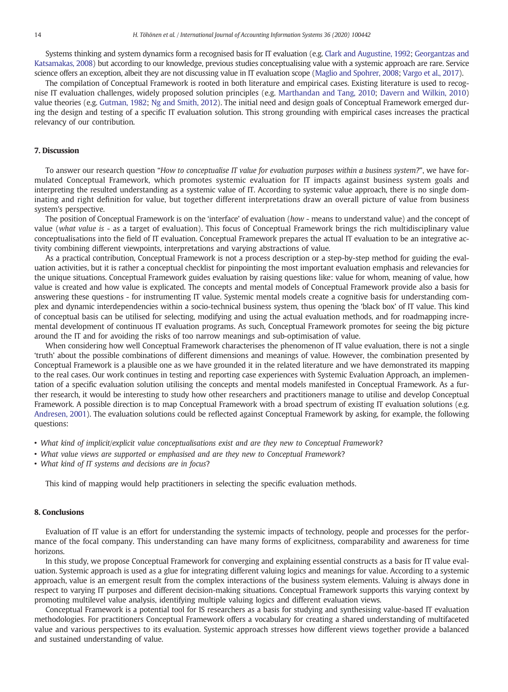Systems thinking and system dynamics form a recognised basis for IT evaluation (e.g. Clark and Augustine, 1992; Georgantzas and Katsamakas, 2008) but according to our knowledge, previous studies conceptualising value with a systemic approach are rare. Service science offers an exception, albeit they are not discussing value in IT evaluation scope (Maglio and Spohrer, 2008; Vargo et al., 2017).

The compilation of Conceptual Framework is rooted in both literature and empirical cases. Existing literature is used to recognise IT evaluation challenges, widely proposed solution principles (e.g. Marthandan and Tang, 2010; Davern and Wilkin, 2010) value theories (e.g. Gutman, 1982; Ng and Smith, 2012). The initial need and design goals of Conceptual Framework emerged during the design and testing of a specific IT evaluation solution. This strong grounding with empirical cases increases the practical relevancy of our contribution.

#### 7. Discussion

To answer our research question "How to conceptualise IT value for evaluation purposes within a business system?", we have formulated Conceptual Framework, which promotes systemic evaluation for IT impacts against business system goals and interpreting the resulted understanding as a systemic value of IT. According to systemic value approach, there is no single dominating and right definition for value, but together different interpretations draw an overall picture of value from business system's perspective.

The position of Conceptual Framework is on the 'interface' of evaluation (how - means to understand value) and the concept of value (what value is - as a target of evaluation). This focus of Conceptual Framework brings the rich multidisciplinary value conceptualisations into the field of IT evaluation. Conceptual Framework prepares the actual IT evaluation to be an integrative activity combining different viewpoints, interpretations and varying abstractions of value.

As a practical contribution, Conceptual Framework is not a process description or a step-by-step method for guiding the evaluation activities, but it is rather a conceptual checklist for pinpointing the most important evaluation emphasis and relevancies for the unique situations. Conceptual Framework guides evaluation by raising questions like: value for whom, meaning of value, how value is created and how value is explicated. The concepts and mental models of Conceptual Framework provide also a basis for answering these questions - for instrumenting IT value. Systemic mental models create a cognitive basis for understanding complex and dynamic interdependencies within a socio-technical business system, thus opening the 'black box' of IT value. This kind of conceptual basis can be utilised for selecting, modifying and using the actual evaluation methods, and for roadmapping incremental development of continuous IT evaluation programs. As such, Conceptual Framework promotes for seeing the big picture around the IT and for avoiding the risks of too narrow meanings and sub-optimisation of value.

When considering how well Conceptual Framework characterises the phenomenon of IT value evaluation, there is not a single 'truth' about the possible combinations of different dimensions and meanings of value. However, the combination presented by Conceptual Framework is a plausible one as we have grounded it in the related literature and we have demonstrated its mapping to the real cases. Our work continues in testing and reporting case experiences with Systemic Evaluation Approach, an implementation of a specific evaluation solution utilising the concepts and mental models manifested in Conceptual Framework. As a further research, it would be interesting to study how other researchers and practitioners manage to utilise and develop Conceptual Framework. A possible direction is to map Conceptual Framework with a broad spectrum of existing IT evaluation solutions (e.g. Andresen, 2001). The evaluation solutions could be reflected against Conceptual Framework by asking, for example, the following questions:

- What kind of implicit/explicit value conceptualisations exist and are they new to Conceptual Framework?
- What value views are supported or emphasised and are they new to Conceptual Framework?
- What kind of IT systems and decisions are in focus?

This kind of mapping would help practitioners in selecting the specific evaluation methods.

#### 8. Conclusions

Evaluation of IT value is an effort for understanding the systemic impacts of technology, people and processes for the performance of the focal company. This understanding can have many forms of explicitness, comparability and awareness for time horizons.

In this study, we propose Conceptual Framework for converging and explaining essential constructs as a basis for IT value evaluation. Systemic approach is used as a glue for integrating different valuing logics and meanings for value. According to a systemic approach, value is an emergent result from the complex interactions of the business system elements. Valuing is always done in respect to varying IT purposes and different decision-making situations. Conceptual Framework supports this varying context by promoting multilevel value analysis, identifying multiple valuing logics and different evaluation views.

Conceptual Framework is a potential tool for IS researchers as a basis for studying and synthesising value-based IT evaluation methodologies. For practitioners Conceptual Framework offers a vocabulary for creating a shared understanding of multifaceted value and various perspectives to its evaluation. Systemic approach stresses how different views together provide a balanced and sustained understanding of value.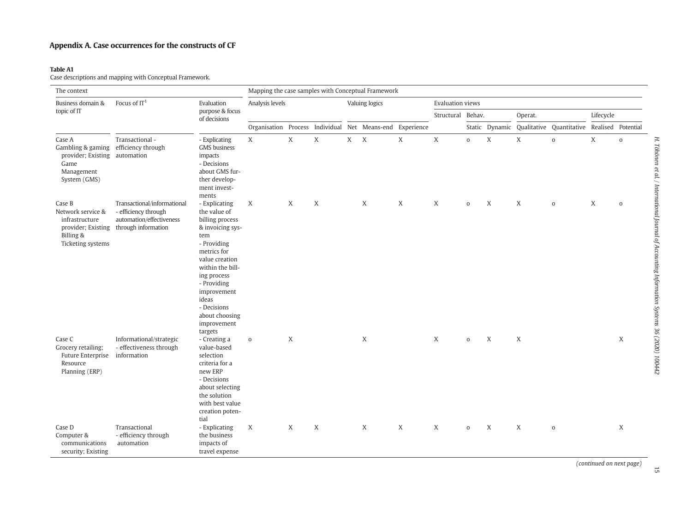### Appendix A. Case occurrences for the constructs of CF

#### Table A1

Case descriptions and mapping with Conceptual Framework.

| The context<br>Mapping the case samples with Conceptual Framework                                                     |                                                                                                                           |                                                                                                                                                                                                                                                       |                                                          |   |              |         |                |                   |                         |                     |                  |   |                                                            |   |                     |
|-----------------------------------------------------------------------------------------------------------------------|---------------------------------------------------------------------------------------------------------------------------|-------------------------------------------------------------------------------------------------------------------------------------------------------------------------------------------------------------------------------------------------------|----------------------------------------------------------|---|--------------|---------|----------------|-------------------|-------------------------|---------------------|------------------|---|------------------------------------------------------------|---|---------------------|
| Business domain &                                                                                                     | Focus of $IT1$                                                                                                            | Evaluation                                                                                                                                                                                                                                            | Analysis levels                                          |   |              |         | Valuing logics |                   | <b>Evaluation views</b> |                     |                  |   |                                                            |   |                     |
| topic of IT                                                                                                           |                                                                                                                           | purpose & focus<br>of decisions                                                                                                                                                                                                                       |                                                          |   |              |         |                | Structural Behav. |                         |                     | Operat.          |   | Lifecycle                                                  |   |                     |
|                                                                                                                       |                                                                                                                           |                                                                                                                                                                                                                                                       | Organisation Process Individual Net Means-end Experience |   |              |         |                |                   |                         |                     |                  |   | Static Dynamic Qualitative Quantitative Realised Potential |   |                     |
| Case A<br>Gambling & gaming efficiency through<br>provider; Existing automation<br>Game<br>Management<br>System (GMS) | Transactional -                                                                                                           | - Explicating<br><b>GMS</b> business<br>impacts<br>- Decisions<br>about GMS fur-<br>ther develop-<br>ment invest-<br>ments                                                                                                                            | X                                                        | X | $\mathbf{X}$ | $X$ $X$ |                | $\mathbf{X}$      | $\mathbf{x}$            | $\mathbf{O}$        | X                | X | $\mathbf{o}$                                               | X | $\mathsf{o}\xspace$ |
| Case B<br>Network service &<br>infrastructure<br>Billing &<br>Ticketing systems                                       | Transactional/informational<br>- efficiency through<br>automation/effectiveness<br>provider; Existing through information | - Explicating<br>the value of<br>billing process<br>& invoicing sys-<br>tem<br>- Providing<br>metrics for<br>value creation<br>within the bill-<br>ing process<br>- Providing<br>improvement<br>ideas<br>- Decisions<br>about choosing<br>improvement | X                                                        | X | X            |         | X              | $\boldsymbol{X}$  | X                       | $\mathbf 0$         | $\boldsymbol{X}$ | X | $\mathbf 0$                                                | X | $\mathbf{o}$        |
| Case C<br>Grocery retailing:<br>Future Enterprise<br>Resource<br>Planning (ERP)                                       | Informational/strategic<br>- effectiveness through<br>information                                                         | targets<br>- Creating a<br>value-based<br>selection<br>criteria for a<br>new ERP<br>- Decisions<br>about selecting<br>the solution<br>with best value<br>creation poten-<br>tial                                                                      | $\mathbf 0$                                              | X |              |         | X              |                   | X                       | $\mathbf 0$         | $\boldsymbol{X}$ | X |                                                            |   | X                   |
| Case D<br>Computer &<br>communications<br>security; Existing                                                          | Transactional<br>- efficiency through<br>automation                                                                       | - Explicating<br>the business<br>impacts of<br>travel expense                                                                                                                                                                                         | X                                                        | X | X            |         | X              | X                 | X                       | $\mathsf{O}\xspace$ | $\boldsymbol{X}$ | X | $\mathbf 0$                                                |   | X                   |

(continued on next page)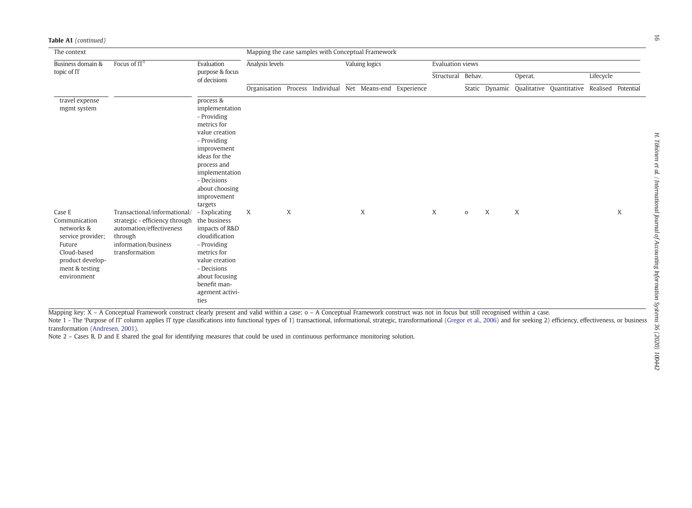| The context                                                                                                                              |                                                                                                                                                 |                                                                                                                                                                                                                        | Mapping the case samples with Conceptual Framework |   |  |                |                                                          |                  |        |              |         |   |                                                            |  |   |
|------------------------------------------------------------------------------------------------------------------------------------------|-------------------------------------------------------------------------------------------------------------------------------------------------|------------------------------------------------------------------------------------------------------------------------------------------------------------------------------------------------------------------------|----------------------------------------------------|---|--|----------------|----------------------------------------------------------|------------------|--------|--------------|---------|---|------------------------------------------------------------|--|---|
| Business domain &                                                                                                                        | Focus of $IT1$                                                                                                                                  | Evaluation                                                                                                                                                                                                             | Analysis levels                                    |   |  | Valuing logics |                                                          | Evaluation views |        |              |         |   |                                                            |  |   |
| topic of IT                                                                                                                              |                                                                                                                                                 | purpose & focus<br>of decisions                                                                                                                                                                                        |                                                    |   |  |                |                                                          | Structural       | Behav. |              | Operat. |   | Lifecycle                                                  |  |   |
|                                                                                                                                          |                                                                                                                                                 |                                                                                                                                                                                                                        |                                                    |   |  |                | Organisation Process Individual Net Means-end Experience |                  |        |              |         |   | Static Dynamic Qualitative Quantitative Realised Potential |  |   |
| travel expense<br>mgmt system                                                                                                            |                                                                                                                                                 | process &<br>implementation<br>- Providing<br>metrics for<br>value creation<br>- Providing<br>improvement<br>ideas for the<br>process and<br>implementation<br>- Decisions<br>about choosing<br>improvement<br>targets |                                                    |   |  |                |                                                          |                  |        |              |         |   |                                                            |  |   |
| Case E<br>Communication<br>networks &<br>service provider;<br>Future<br>Cloud-based<br>product develop-<br>ment & testing<br>environment | Transactional/informational/<br>strategic - efficiency through<br>automation/effectiveness<br>through<br>information/business<br>transformation | - Explicating<br>the business<br>impacts of R&D<br>cloudification<br>- Providing<br>metrics for<br>value creation<br>- Decisions<br>about focusing<br>benefit man-<br>agement activi-<br>ties                          | X                                                  | X |  |                | X                                                        |                  | X      | $\mathbf{O}$ | X       | X |                                                            |  | X |

Table A1 (continued)

Mapping key: X - A Conceptual Framework construct clearly present and valid within a case; o - A Conceptual Framework construct was not in focus but still recognised within a case.

Note 1 - The 'Purpose of IT' column applies IT type classifications into functional types of 1) transactional, informational, strategic, transformational (Gregor et al., 2006) and for seeking 2) efficiency, effectiveness, transformation (Andresen, 2001).

Note 2 – Cases B, D and E shared the goal for identifying measures that could be used in continuous performance monitoring solution.

L.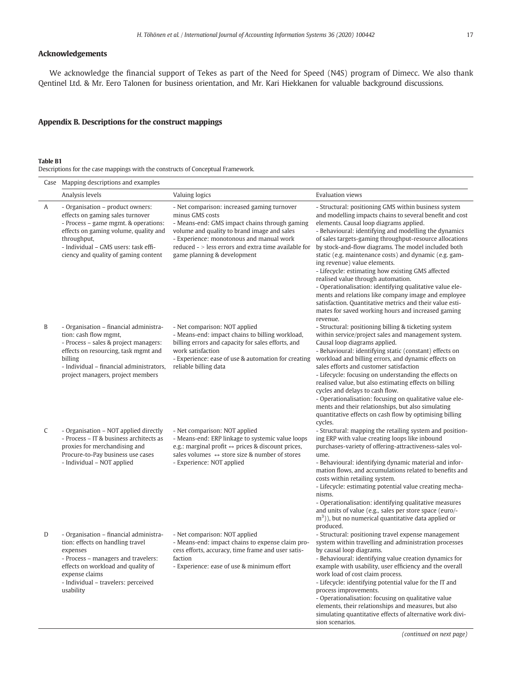#### Acknowledgements

We acknowledge the financial support of Tekes as part of the Need for Speed (N4S) program of Dimecc. We also thank Qentinel Ltd. & Mr. Eero Talonen for business orientation, and Mr. Kari Hiekkanen for valuable background discussions.

#### Appendix B. Descriptions for the construct mappings

#### Table B1

Descriptions for the case mappings with the constructs of Conceptual Framework.

|   | Case Mapping descriptions and examples                                                                                                                                                                                                               |                                                                                                                                                                                                                                                                                                   |                                                                                                                                                                                                                                                                                                                                                                                                                                                                                                                                                                                                                                                                                                                                                                              |  |  |  |
|---|------------------------------------------------------------------------------------------------------------------------------------------------------------------------------------------------------------------------------------------------------|---------------------------------------------------------------------------------------------------------------------------------------------------------------------------------------------------------------------------------------------------------------------------------------------------|------------------------------------------------------------------------------------------------------------------------------------------------------------------------------------------------------------------------------------------------------------------------------------------------------------------------------------------------------------------------------------------------------------------------------------------------------------------------------------------------------------------------------------------------------------------------------------------------------------------------------------------------------------------------------------------------------------------------------------------------------------------------------|--|--|--|
|   | Analysis levels                                                                                                                                                                                                                                      | Valuing logics                                                                                                                                                                                                                                                                                    | <b>Evaluation views</b>                                                                                                                                                                                                                                                                                                                                                                                                                                                                                                                                                                                                                                                                                                                                                      |  |  |  |
| Α | - Organisation - product owners:<br>effects on gaming sales turnover<br>- Process – game mgmt. & operations:<br>effects on gaming volume, quality and<br>throughput,<br>- Individual - GMS users: task effi-<br>ciency and quality of gaming content | - Net comparison: increased gaming turnover<br>minus GMS costs<br>- Means-end: GMS impact chains through gaming<br>volume and quality to brand image and sales<br>- Experience: monotonous and manual work<br>reduced - > less errors and extra time available for<br>game planning & development | - Structural: positioning GMS within business system<br>and modelling impacts chains to several benefit and cost<br>elements. Causal loop diagrams applied.<br>- Behavioural: identifying and modelling the dynamics<br>of sales targets-gaming throughput-resource allocations<br>by stock-and-flow diagrams. The model included both<br>static (e.g. maintenance costs) and dynamic (e.g. gam-<br>ing revenue) value elements.<br>- Lifecycle: estimating how existing GMS affected<br>realised value through automation.<br>- Operationalisation: identifying qualitative value ele-<br>ments and relations like company image and employee<br>satisfaction. Quantitative metrics and their value esti-<br>mates for saved working hours and increased gaming<br>revenue. |  |  |  |
| B | - Organisation - financial administra-<br>tion: cash flow mgmt,<br>- Process - sales & project managers:<br>effects on resourcing, task mgmt and<br>billing<br>- Individual - financial administrators,<br>project managers, project members         | - Net comparison: NOT applied<br>- Means-end: impact chains to billing workload,<br>billing errors and capacity for sales efforts, and<br>work satisfaction<br>- Experience: ease of use & automation for creating<br>reliable billing data                                                       | - Structural: positioning billing & ticketing system<br>within service/project sales and management system.<br>Causal loop diagrams applied.<br>- Behavioural: identifying static (constant) effects on<br>workload and billing errors, and dynamic effects on<br>sales efforts and customer satisfaction<br>- Lifecycle: focusing on understanding the effects on<br>realised value, but also estimating effects on billing<br>cycles and delays to cash flow.<br>- Operationalisation: focusing on qualitative value ele-<br>ments and their relationships, but also simulating<br>quantitative effects on cash flow by optimising billing<br>cycles.                                                                                                                      |  |  |  |
| C | - Organisation - NOT applied directly<br>- Process - IT & business architects as<br>proxies for merchandising and<br>Procure-to-Pay business use cases<br>- Individual - NOT applied                                                                 | - Net comparison: NOT applied<br>- Means-end: ERP linkage to systemic value loops<br>e.g.: marginal profit $\leftrightarrow$ prices & discount prices,<br>sales volumes $\leftrightarrow$ store size & number of stores<br>- Experience: NOT applied                                              | - Structural: mapping the retailing system and position-<br>ing ERP with value creating loops like inbound<br>purchases-variety of offering-attractiveness-sales vol-<br>ume.<br>- Behavioural: identifying dynamic material and infor-<br>mation flows, and accumulations related to benefits and<br>costs within retailing system.<br>- Lifecycle: estimating potential value creating mecha-<br>nisms.<br>- Operationalisation: identifying qualitative measures<br>and units of value (e.g., sales per store space (euro/-<br>$(m3)$ ), but no numerical quantitative data applied or<br>produced.                                                                                                                                                                       |  |  |  |
| D | - Organisation - financial administra-<br>tion: effects on handling travel<br>expenses<br>- Process - managers and travelers:<br>effects on workload and quality of<br>expense claims<br>- Individual - travelers: perceived<br>usability            | - Net comparison: NOT applied<br>- Means-end: impact chains to expense claim pro-<br>cess efforts, accuracy, time frame and user satis-<br>faction<br>- Experience: ease of use & minimum effort                                                                                                  | - Structural: positioning travel expense management<br>system within travelling and administration processes<br>by causal loop diagrams.<br>- Behavioural: identifying value creation dynamics for<br>example with usability, user efficiency and the overall<br>work load of cost claim process.<br>- Lifecycle: identifying potential value for the IT and<br>process improvements.<br>- Operationalisation: focusing on qualitative value<br>elements, their relationships and measures, but also<br>simulating quantitative effects of alternative work divi-<br>sion scenarios.                                                                                                                                                                                         |  |  |  |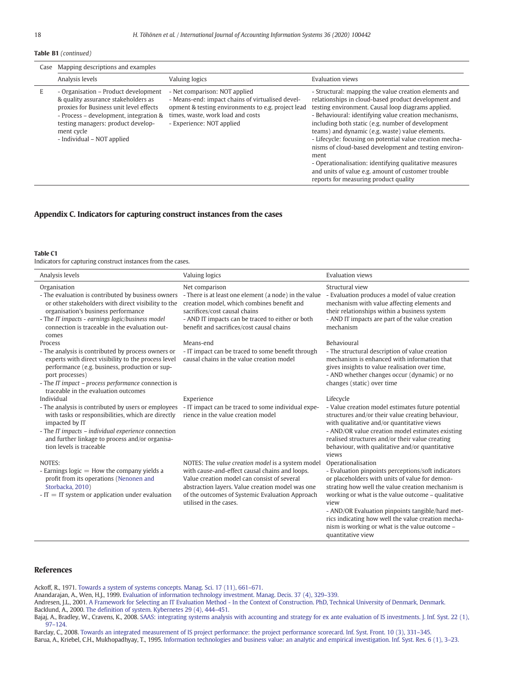Table B1 (continued)

|   | Case Mapping descriptions and examples                                                                                                                                                                                                             |                                                                                                                                                                                                           |                                                                                                                                                                                                                                                                                                                                                                                                                                                                                                                                                                                                                            |  |  |  |  |  |  |
|---|----------------------------------------------------------------------------------------------------------------------------------------------------------------------------------------------------------------------------------------------------|-----------------------------------------------------------------------------------------------------------------------------------------------------------------------------------------------------------|----------------------------------------------------------------------------------------------------------------------------------------------------------------------------------------------------------------------------------------------------------------------------------------------------------------------------------------------------------------------------------------------------------------------------------------------------------------------------------------------------------------------------------------------------------------------------------------------------------------------------|--|--|--|--|--|--|
|   | Analysis levels                                                                                                                                                                                                                                    | Valuing logics                                                                                                                                                                                            | Evaluation views                                                                                                                                                                                                                                                                                                                                                                                                                                                                                                                                                                                                           |  |  |  |  |  |  |
| E | - Organisation – Product development<br>& quality assurance stakeholders as<br>proxies for Business unit level effects<br>- Process - development, integration &<br>testing managers: product develop-<br>ment cycle<br>- Individual – NOT applied | - Net comparison: NOT applied<br>- Means-end: impact chains of virtualised devel-<br>opment & testing environments to e.g. project lead<br>times, waste, work load and costs<br>- Experience: NOT applied | - Structural: mapping the value creation elements and<br>relationships in cloud-based product development and<br>testing environment. Causal loop diagrams applied.<br>- Behavioural: identifying value creation mechanisms,<br>including both static (e.g. number of development<br>teams) and dynamic (e.g. waste) value elements.<br>- Lifecycle: focusing on potential value creation mecha-<br>nisms of cloud-based development and testing environ-<br>ment<br>- Operationalisation: identifying qualitative measures<br>and units of value e.g. amount of customer trouble<br>reports for measuring product quality |  |  |  |  |  |  |

#### Appendix C. Indicators for capturing construct instances from the cases

Table C1

Indicators for capturing construct instances from the cases.

| Analysis levels                                                                                                                                                                                                                                                                          | Valuing logics                                                                                                                                                                                                                                                                      | <b>Evaluation views</b>                                                                                                                                                                                                                                                                                                                                                                                                        |
|------------------------------------------------------------------------------------------------------------------------------------------------------------------------------------------------------------------------------------------------------------------------------------------|-------------------------------------------------------------------------------------------------------------------------------------------------------------------------------------------------------------------------------------------------------------------------------------|--------------------------------------------------------------------------------------------------------------------------------------------------------------------------------------------------------------------------------------------------------------------------------------------------------------------------------------------------------------------------------------------------------------------------------|
| Organisation<br>- The evaluation is contributed by business owners<br>or other stakeholders with direct visibility to the<br>organisation's business performance<br>- The IT impacts - earnings logic/business model<br>connection is traceable in the evaluation out-<br>comes          | Net comparison<br>- There is at least one element (a node) in the value<br>creation model, which combines benefit and<br>sacrifices/cost causal chains<br>- AND IT impacts can be traced to either or both<br>benefit and sacrifices/cost causal chains                             | Structural view<br>- Evaluation produces a model of value creation<br>mechanism with value affecting elements and<br>their relationships within a business system<br>- AND IT impacts are part of the value creation<br>mechanism                                                                                                                                                                                              |
| Process<br>- The analysis is contributed by process owners or<br>experts with direct visibility to the process level<br>performance (e.g. business, production or sup-<br>port processes)<br>- The IT impact - process performance connection is<br>traceable in the evaluation outcomes | Means-end<br>- IT impact can be traced to some benefit through<br>causal chains in the value creation model                                                                                                                                                                         | <b>Behavioural</b><br>- The structural description of value creation<br>mechanism is enhanced with information that<br>gives insights to value realisation over time,<br>- AND whether changes occur (dynamic) or no<br>changes (static) over time                                                                                                                                                                             |
| Individual<br>- The analysis is contributed by users or employees<br>with tasks or responsibilities, which are directly<br>impacted by IT<br>- The IT impacts - individual experience connection<br>and further linkage to process and/or organisa-<br>tion levels is traceable          | Experience<br>- IT impact can be traced to some individual expe-<br>rience in the value creation model                                                                                                                                                                              | Lifecycle<br>- Value creation model estimates future potential<br>structures and/or their value creating behaviour,<br>with qualitative and/or quantitative views<br>- AND/OR value creation model estimates existing<br>realised structures and/or their value creating<br>behaviour, with qualitative and/or quantitative<br>views                                                                                           |
| NOTES:<br>- Earnings $logic =$ How the company yields a<br>profit from its operations (Nenonen and<br>Storbacka, 2010)<br>$-IT = IT$ system or application under evaluation                                                                                                              | NOTES: The value creation model is a system model<br>with cause-and-effect causal chains and loops.<br>Value creation model can consist of several<br>abstraction layers. Value creation model was one<br>of the outcomes of Systemic Evaluation Approach<br>utilised in the cases. | Operationalisation<br>- Evaluation pinpoints perceptions/soft indicators<br>or placeholders with units of value for demon-<br>strating how well the value creation mechanism is<br>working or what is the value outcome - qualitative<br>view<br>- AND/OR Evaluation pinpoints tangible/hard met-<br>rics indicating how well the value creation mecha-<br>nism is working or what is the value outcome -<br>quantitative view |

#### References

Ackoff, R., 1971. [Towards a system of systems concepts. Manag. Sci. 17 \(11\), 661](http://refhub.elsevier.com/S1467-0895(18)30005-8/rf0005)–671.

Anandarajan, A., Wen, H.J., 1999. [Evaluation of information technology investment. Manag. Decis. 37 \(4\), 329](http://refhub.elsevier.com/S1467-0895(18)30005-8/rf0010)–339.

Andresen, J.L., 2001. [A Framework for Selecting an IT Evaluation Method - In the Context of Construction. PhD, Technical University of Denmark, Denmark](http://refhub.elsevier.com/S1467-0895(18)30005-8/rf0015). Backlund, A., 2000. [The definition of system. Kybernetes 29 \(4\), 444](http://refhub.elsevier.com/S1467-0895(18)30005-8/rf0020)–451.

Bajaj, A., Bradley, W., Cravens, K., 2008. [SAAS: integrating systems analysis with accounting and strategy for ex ante evaluation of IS investments. J. Inf. Syst. 22 \(1\),](http://refhub.elsevier.com/S1467-0895(18)30005-8/rf0025) 97–[124](http://refhub.elsevier.com/S1467-0895(18)30005-8/rf0025).

Barclay, C., 2008. [Towards an integrated measurement of IS project performance: the project performance scorecard. Inf. Syst. Front. 10 \(3\), 331](http://refhub.elsevier.com/S1467-0895(18)30005-8/rf0030)–345. Barua, A., Kriebel, C.H., Mukhopadhyay, T., 1995. [Information technologies and business value: an analytic and empirical investigation. Inf. Syst. Res. 6 \(1\), 3](http://refhub.elsevier.com/S1467-0895(18)30005-8/rf0035)–23.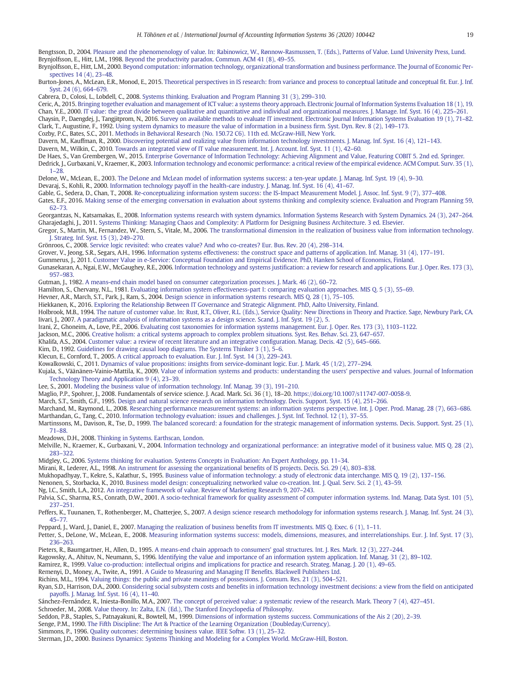Bengtsson, D., 2004. [Pleasure and the phenomenology of value. In: Rabinowicz, W., Rønnow-Rasmussen, T. \(Eds.\), Patterns of Value. Lund University Press, Lund.](http://refhub.elsevier.com/S1467-0895(18)30005-8/rf0040) Brynjolfsson, E., Hitt, L.M., 1998. [Beyond the productivity paradox. Commun. ACM 41 \(8\), 49](http://refhub.elsevier.com/S1467-0895(18)30005-8/rf0045)–55. Brynjolfsson, E., Hitt, L.M., 2000. [Beyond computation: information technology, organizational transformation and business performance. The Journal of Economic Per](http://refhub.elsevier.com/S1467-0895(18)30005-8/rf0050)[spectives 14 \(4\), 23](http://refhub.elsevier.com/S1467-0895(18)30005-8/rf0050)–48. Burton-Jones, A., McLean, E.R., Monod, E., 2015. [Theoretical perspectives in IS research: from variance and process to conceptual latitude and conceptual fit. Eur. J. Inf.](http://refhub.elsevier.com/S1467-0895(18)30005-8/rf0060) [Syst. 24 \(6\), 664](http://refhub.elsevier.com/S1467-0895(18)30005-8/rf0060)–679. Cabrera, D., Colosi, L., Lobdell, C., 2008. [Systems thinking. Evaluation and Program Planning 31 \(3\), 299](http://refhub.elsevier.com/S1467-0895(18)30005-8/rf0065)–310. Ceric, A., 2015. [Bringing together evaluation and management of ICT value: a systems theory approach. Electronic Journal of Information Systems Evaluation 18 \(1\), 19.](http://refhub.elsevier.com/S1467-0895(18)30005-8/rf0070) Chan, Y.E., 2000. [IT value: the great divide between qualitative and quantitative and individual and organizational measures. J. Manage. Inf. Syst. 16 \(4\), 225](http://refhub.elsevier.com/S1467-0895(18)30005-8/rf0075)–261. Chaysin, P., Daengdej, J., Tangjitprom, N., 2016. [Survey on available methods to evaluate IT investment. Electronic Journal Information Systems Evaluation 19 \(1\), 71](http://refhub.elsevier.com/S1467-0895(18)30005-8/rf0080)–82. Clark, T., Augustine, F., 1992. [Using system dynamics to measure the value of information in a business firm. Syst. Dyn. Rev. 8 \(2\), 149](http://refhub.elsevier.com/S1467-0895(18)30005-8/rf0085)–173. Cozby, P.C., Bates, S.C., 2011. [Methods in Behavioral Research \(No. 150.72 C6\). 11th ed. McGraw-Hill, New York](http://refhub.elsevier.com/S1467-0895(18)30005-8/rf0090). Davern, M., Kauffman, R., 2000. [Discovering potential and realizing value from information technology investments. J. Manag. Inf. Syst. 16 \(4\), 121](http://refhub.elsevier.com/S1467-0895(18)30005-8/rf0095)–143. Davern, M., Wilkin, C., 2010. [Towards an integrated view of IT value measurement. Int. J. Account. Inf. Syst. 11 \(1\), 42](http://refhub.elsevier.com/S1467-0895(18)30005-8/rf0100)–60. De Haes, S., Van Grembergen, W., 2015. [Enterprise Governance of Information Technology: Achieving Alignment and Value, Featuring COBIT 5. 2nd ed. Springer.](http://refhub.elsevier.com/S1467-0895(18)30005-8/rf0105) Dedrick, J., Gurbaxani, V., Kraemer, K., 2003. [Information technology and economic performance: a critical review of the empirical evidence. ACM Comput. Surv. 35 \(1\),](http://refhub.elsevier.com/S1467-0895(18)30005-8/rf0110) 1–[28](http://refhub.elsevier.com/S1467-0895(18)30005-8/rf0110). Delone, W., McLean, E., 2003. [The DeLone and McLean model of information systems success: a ten-year update. J. Manag. Inf. Syst. 19 \(4\), 9](http://refhub.elsevier.com/S1467-0895(18)30005-8/rf0115)–30. Devaraj, S., Kohli, R., 2000. [Information technology payoff in the health-care industry. J. Manag. Inf. Syst. 16 \(4\), 41](http://refhub.elsevier.com/S1467-0895(18)30005-8/rf0120)–67. Gable, G., Sedera, D., Chan, T., 2008. [Re-conceptualizing information system success: the IS-Impact Measurement Model. J. Assoc. Inf. Syst. 9 \(7\), 377](http://refhub.elsevier.com/S1467-0895(18)30005-8/rf0125)–408. Gates, E.F., 2016. [Making sense of the emerging conversation in evaluation about systems thinking and complexity science. Evaluation and Program Planning 59,](http://refhub.elsevier.com/S1467-0895(18)30005-8/rf0130) [62](http://refhub.elsevier.com/S1467-0895(18)30005-8/rf0130)–73. Georgantzas, N., Katsamakas, E., 2008. [Information systems research with system dynamics. Information Systems Research with System Dynamics. 24 \(3\), 247](http://refhub.elsevier.com/S1467-0895(18)30005-8/rf0135)–264. Gharajedaghi, J., 2011. [Systems Thinking: Managing Chaos and Complexity: A Platform for Designing Business Architecture. 3 ed. Elsevier.](http://refhub.elsevier.com/S1467-0895(18)30005-8/rf0140) Gregor, S., Martin, M., Fernandez, W., Stern, S., Vitale, M., 2006. [The transformational dimension in the realization of business value from information technology.](http://refhub.elsevier.com/S1467-0895(18)30005-8/rf0150) [J. Strateg. Inf. Syst. 15 \(3\), 249](http://refhub.elsevier.com/S1467-0895(18)30005-8/rf0150)–270. Grönroos, C., 2008. [Service logic revisited: who creates value? And who co-creates? Eur. Bus. Rev. 20 \(4\), 298](http://refhub.elsevier.com/S1467-0895(18)30005-8/rf0155)–314. Grover, V., Jeong, S.R., Segars, A.H., 1996. [Information systems effectiveness: the construct space and patterns of application. Inf. Manag. 31 \(4\), 177](http://refhub.elsevier.com/S1467-0895(18)30005-8/rf0160)–191. Gummerus, J., 2011. [Customer Value in e-Service: Conceptual Foundation and Empirical Evidence. PhD, Hanken School of Economics, Finland.](http://refhub.elsevier.com/S1467-0895(18)30005-8/rf0165) Gunasekaran, A., Ngai, E.W., McGaughey, R.E., 2006. [Information technology and systems justification: a review for research and applications. Eur. J. Oper. Res. 173 \(3\),](http://refhub.elsevier.com/S1467-0895(18)30005-8/rf0170) [957](http://refhub.elsevier.com/S1467-0895(18)30005-8/rf0170)–983. Gutman, J., 1982. [A means-end chain model based on consumer categorization processes. J. Mark. 46 \(2\), 60](http://refhub.elsevier.com/S1467-0895(18)30005-8/rf0175)–72. Hamilton, S., Chervany, N.L., 1981. [Evaluating information system effectiveness-part I: comparing evaluation approaches. MIS Q. 5 \(3\), 55](http://refhub.elsevier.com/S1467-0895(18)30005-8/rf0180)–69. Hevner, A.R., March, S.T., Park, J., Ram, S., 2004. [Design science in information systems research. MIS Q. 28 \(1\), 75](http://refhub.elsevier.com/S1467-0895(18)30005-8/rf0185)–105. Hiekkanen, K., 2016. [Exploring the Relationship Between IT Governance and Strategic Alignment. PhD, Aalto University, Finland](http://refhub.elsevier.com/S1467-0895(18)30005-8/rf0190). Holbrook, M.B., 1994. [The nature of customer value. In: Rust, R.T., Oliver, R.L. \(Eds.\), Service Quality: New Directions in Theory and Practice. Sage, Newbury Park, CA.](http://refhub.elsevier.com/S1467-0895(18)30005-8/rf0195) Iivari, J., 2007. [A paradigmatic analysis of information systems as a design science. Scand. J. Inf. Syst. 19 \(2\), 5](http://refhub.elsevier.com/S1467-0895(18)30005-8/rf0200). Irani, Z., Ghoneim, A., Love, P.E., 2006. [Evaluating cost taxonomies for information systems management. Eur. J. Oper. Res. 173 \(3\), 1103](http://refhub.elsevier.com/S1467-0895(18)30005-8/rf0205)–1122. Jackson, M.C., 2006. [Creative holism: a critical systems approach to complex problem situations. Syst. Res. Behav. Sci. 23, 647](http://refhub.elsevier.com/S1467-0895(18)30005-8/rf0210)–657. Khalifa, A.S., 2004. [Customer value: a review of recent literature and an integrative configuration. Manag. Decis. 42 \(5\), 645](http://refhub.elsevier.com/S1467-0895(18)30005-8/rf0215)–666. Kim, D., 1992. [Guidelines for drawing causal loop diagrams. The Systems Thinker 3 \(1\), 5](http://refhub.elsevier.com/S1467-0895(18)30005-8/rf0220)-6. Klecun, E., Cornford, T., 2005. [A critical approach to evaluation. Eur. J. Inf. Syst. 14 \(3\), 229](http://refhub.elsevier.com/S1467-0895(18)30005-8/rf0225)–243. Kowalkowski, C., 2011. [Dynamics of value propositions: insights from service-dominant logic. Eur. J. Mark. 45 \(1/2\), 277](http://refhub.elsevier.com/S1467-0895(18)30005-8/rf0230)–294. Kujala, S., Väänänen-Vainio-Mattila, K., 2009. [Value of information systems and products: understanding the users' perspective and values. Journal of Information](http://refhub.elsevier.com/S1467-0895(18)30005-8/rf0235) [Technology Theory and Application 9 \(4\), 23](http://refhub.elsevier.com/S1467-0895(18)30005-8/rf0235)–39. Lee, S., 2001. [Modeling the business value of information technology. Inf. Manag. 39 \(3\), 191](http://refhub.elsevier.com/S1467-0895(18)30005-8/rf0240)–210. Maglio, P.P., Spohrer, J., 2008. Fundamentals of service science. J. Acad. Mark. Sci. 36 (1), 18–20. <https://doi.org/10.1007/s11747-007-0058-9>. March, S.T., Smith, G.F., 1995. [Design and natural science research on information technology. Decis. Support. Syst. 15 \(4\), 251](http://refhub.elsevier.com/S1467-0895(18)30005-8/rf0250)–266. Marchand, M., Raymond, L., 2008. [Researching performance measurement systems: an information systems perspective. Int. J. Oper. Prod. Manag. 28 \(7\), 663](http://refhub.elsevier.com/S1467-0895(18)30005-8/rf0255)–686. Marthandan, G., Tang, C., 2010. [Information technology evaluation: issues and challenges. J. Syst. Inf. Technol. 12 \(1\), 37](http://refhub.elsevier.com/S1467-0895(18)30005-8/rf0260)–55. Martinssons, M., Davison, R., Tse, D., 1999. [The balanced scorecard: a foundation for the strategic management of information systems. Decis. Support. Syst. 25 \(1\),](http://refhub.elsevier.com/S1467-0895(18)30005-8/rf0265) [71](http://refhub.elsevier.com/S1467-0895(18)30005-8/rf0265)–88. Meadows, D.H., 2008. [Thinking in Systems. Earthscan, London](http://refhub.elsevier.com/S1467-0895(18)30005-8/rf0270). Melville, N., Kraemer, K., Gurbaxani, V., 2004. [Information technology and organizational performance: an integrative model of it business value. MIS Q. 28 \(2\),](http://refhub.elsevier.com/S1467-0895(18)30005-8/rf0275) [283](http://refhub.elsevier.com/S1467-0895(18)30005-8/rf0275)–322. Midgley, G., 2006. [Systems thinking for evaluation. Systems Concepts in Evaluation: An Expert Anthology, pp. 11](http://refhub.elsevier.com/S1467-0895(18)30005-8/rf0280)–34. Mirani, R., Lederer, A.L., 1998. [An instrument for assessing the organizational benefits of IS projects. Decis. Sci. 29 \(4\), 803](http://refhub.elsevier.com/S1467-0895(18)30005-8/rf0285)–838. Mukhopadhyay, T., Kekre, S., Kalathur, S., 1995. [Business value of information technology: a study of electronic data interchange. MIS Q. 19 \(2\), 137](http://refhub.elsevier.com/S1467-0895(18)30005-8/rf0290)–156. Nenonen, S., Storbacka, K., 2010. [Business model design: conceptualizing networked value co-creation. Int. J. Qual. Serv. Sci. 2 \(1\), 43](http://refhub.elsevier.com/S1467-0895(18)30005-8/rf6000)–59. Ng, I.C., Smith, L.A., 2012. [An integrative framework of value. Review of Marketing Research 9, 207](http://refhub.elsevier.com/S1467-0895(18)30005-8/rf0295)–243. Palvia, S.C., Sharma, R.S., Conrath, D.W., 2001. [A socio-technical framework for quality assessment of computer information systems. Ind. Manag. Data Syst. 101 \(5\),](http://refhub.elsevier.com/S1467-0895(18)30005-8/rf0300) [237](http://refhub.elsevier.com/S1467-0895(18)30005-8/rf0300)–251. Peffers, K., Tuunanen, T., Rothenberger, M., Chatterjee, S., 2007. [A design science research methodology for information systems research. J. Manag. Inf. Syst. 24 \(3\),](http://refhub.elsevier.com/S1467-0895(18)30005-8/rf0305) [45](http://refhub.elsevier.com/S1467-0895(18)30005-8/rf0305)–77. Peppard, J., Ward, J., Daniel, E., 2007. [Managing the realization of business benefits from IT investments. MIS Q. Exec. 6 \(1\), 1](http://refhub.elsevier.com/S1467-0895(18)30005-8/rf0310)–11. Petter, S., DeLone, W., McLean, E., 2008. [Measuring information systems success: models, dimensions, measures, and interrelationships. Eur. J. Inf. Syst. 17 \(3\),](http://refhub.elsevier.com/S1467-0895(18)30005-8/rf0315) [236](http://refhub.elsevier.com/S1467-0895(18)30005-8/rf0315)–263.

Pieters, R., Baumgartner, H., Allen, D., 1995. [A means-end chain approach to consumers' goal structures. Int. J. Res. Mark. 12 \(3\), 227](http://refhub.elsevier.com/S1467-0895(18)30005-8/rf0320)–244.

Ragowsky, A., Ahituv, N., Neumann, S., 1996. [Identifying the value and importance of an information system application. Inf. Manag. 31 \(2\), 89](http://refhub.elsevier.com/S1467-0895(18)30005-8/rf0325)–102.

Ramirez, R., 1999. [Value co-production: intellectual origins and implications for practice and research. Strateg. Manag. J. 20 \(1\), 49](http://refhub.elsevier.com/S1467-0895(18)30005-8/rf0330)–65.

Remenyi, D., Money, A., Twite, A., 1991. [A Guide to Measuring and Managing IT Benefits. Blackwell Publishers Ltd.](http://refhub.elsevier.com/S1467-0895(18)30005-8/rf0335)

Richins, M.L., 1994. [Valuing things: the public and private meanings of possessions. J. Consum. Res. 21 \(3\), 504](http://refhub.elsevier.com/S1467-0895(18)30005-8/rf0340)–521.

Ryan, S.D., Harrison, D.A., 2000. [Considering social subsystem costs and benefits in information technology investment decisions: a view from the field on anticipated](http://refhub.elsevier.com/S1467-0895(18)30005-8/rf0345) [payoffs. J. Manag. Inf. Syst. 16 \(4\), 11](http://refhub.elsevier.com/S1467-0895(18)30005-8/rf0345)–40.

Sánchez-Fernández, R., Iniesta-Bonillo, M.A., 2007. [The concept of perceived value: a systematic review of the research. Mark. Theory 7 \(4\), 427](http://refhub.elsevier.com/S1467-0895(18)30005-8/rf0350)–451.

Schroeder, M., 2008. [Value theory. In: Zalta, E.N. \(Ed.\), The Stanford Encyclopedia of Philosophy](http://refhub.elsevier.com/S1467-0895(18)30005-8/rf0355).

Seddon, P.B., Staples, S., Patnayakuni, R., Bowtell, M., 1999. [Dimensions of information systems success. Communications of the Ais 2 \(20\), 2](http://refhub.elsevier.com/S1467-0895(18)30005-8/rf0360)–39.

Senge, P.M., 1990. [The Fifth Discipline: The Art & Practice of the Learning Organization \(Doubleday/Currency\).](http://refhub.elsevier.com/S1467-0895(18)30005-8/rf0365)

Simmons, P., 1996. [Quality outcomes: determining business value. IEEE Softw. 13 \(1\), 25](http://refhub.elsevier.com/S1467-0895(18)30005-8/rf0370)–32.

Sterman, J.D., 2000. [Business Dynamics: Systems Thinking and Modeling for a Complex World. McGraw-Hill, Boston](http://refhub.elsevier.com/S1467-0895(18)30005-8/rf0375).